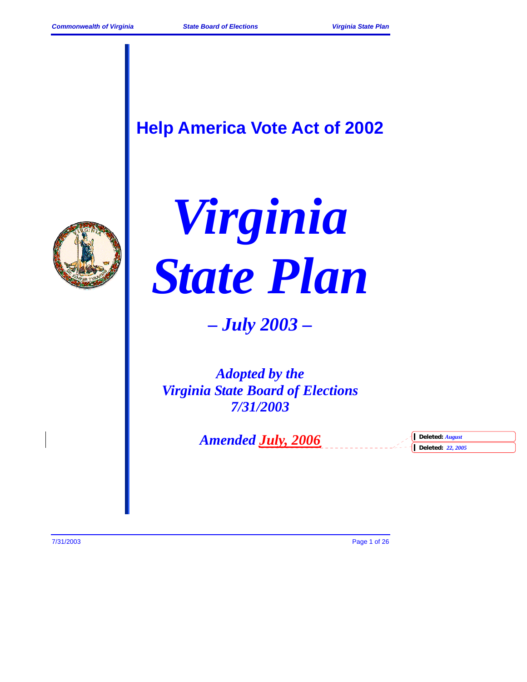# **Help America Vote Act of 2002**





*– July 2003 –* 

*Adopted by the Virginia State Board of Elections 7/31/2003* 

*Amended July, 2006* **Deleted:** *August* **Deleted:** *August* 

**Deleted:** *22, 2005*

7/31/2003 Page 1 of 26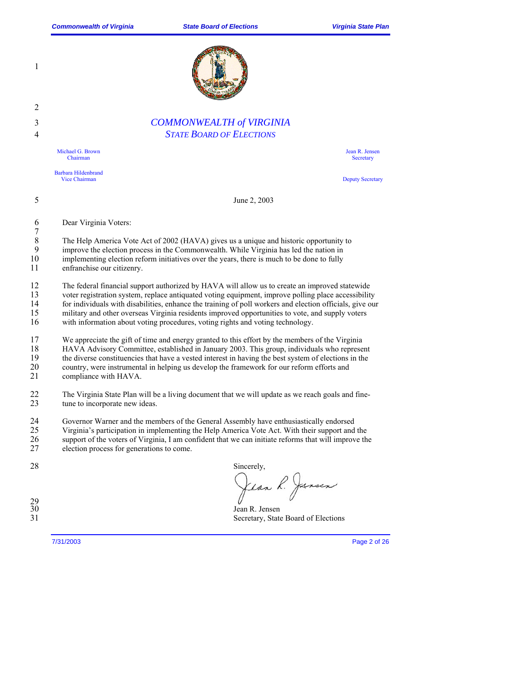

4 *STATE BOARD OF ELECTIONS* Michael G. Brown

1

2

Chairman

Barbara Hildenbrand

Jean R. Jensen **Secretary** 

Deputy Secretary

5 June 2, 2003

6 Dear Virginia Voters:

 $\frac{7}{8}$ 8 The Help America Vote Act of 2002 (HAVA) gives us a unique and historic opportunity to improve the election process in the Commonwealth. While Virginia has led the nation in improve the election process in the Commonwealth. While Virginia has led the nation in 10 implementing election reform initiatives over the years, there is much to be done to fully

11 enfranchise our citizenry.

12 The federal financial support authorized by HAVA will allow us to create an improved statewide<br>13 voter registration system, replace antiquated voting equipment, improve polling place accessibility 13 voter registration system, replace antiquated voting equipment, improve polling place accessibility<br>14 for individuals with disabilities, enhance the training of poll workers and election officials, give our 14 for individuals with disabilities, enhance the training of poll workers and election officials, give our military and other overseas Virginia residents improved opportunities to vote, and supply voters

15 military and other overseas Virginia residents improved opportunities to vote, and supply voters with information about voting procedures, voting rights and voting technology.

with information about voting procedures, voting rights and voting technology.

3 *COMMONWEALTH of VIRGINIA* 

17 We appreciate the gift of time and energy granted to this effort by the members of the Virginia

18 HAVA Advisory Committee, established in January 2003. This group, individuals who represent the diverse constituencies that have a vested interest in having the best system of elections in the 19 the diverse constituencies that have a vested interest in having the best system of elections in the country were instrumental in helping us develop the framework for our reform efforts and

20 country, were instrumental in helping us develop the framework for our reform efforts and compliance with HAVA.

compliance with HAVA.

22 The Virginia State Plan will be a living document that we will update as we reach goals and fine-<br>23 tune to incorporate new ideas. tune to incorporate new ideas.

24 Governor Warner and the members of the General Assembly have enthusiastically endorsed

25 Virginia's participation in implementing the Help America Vote Act. With their support and the support of the voters of Virginia, I am confident that we can initiate reforms that will improve the

27 election process for generations to come.

| electron process for generations to come. |  |  |  |
|-------------------------------------------|--|--|--|
|                                           |  |  |  |
|                                           |  |  |  |

28 Sincerely, Jean R. Jansen

30 Jean R. Jensen Secretary, State Board of Elections

 $\frac{29}{30}$ 

7/31/2003 Page 2 of 26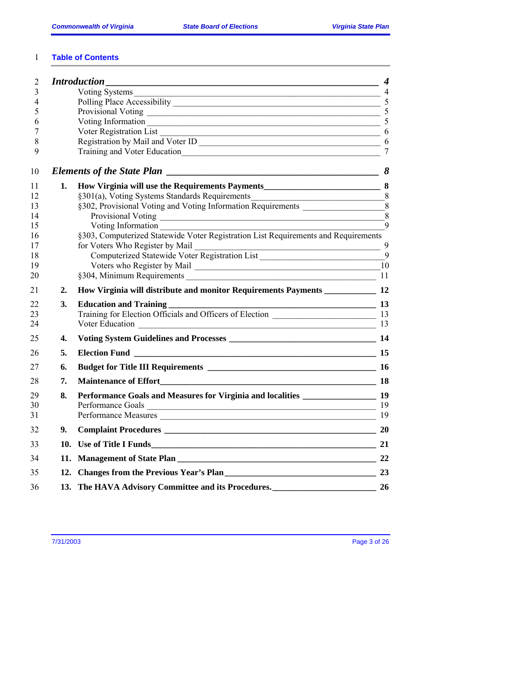## 1 **Table of Contents**

| $\overline{2}$ |                  |                                                                                    | $\boldsymbol{4}$ |
|----------------|------------------|------------------------------------------------------------------------------------|------------------|
| 3              |                  |                                                                                    |                  |
| 4              |                  |                                                                                    |                  |
| 5              |                  | Provisional Voting 5                                                               |                  |
| 6              |                  | Voting Information 5                                                               |                  |
| 7              |                  | $\overline{\phantom{a}}$ 6<br>Voter Registration List                              |                  |
| 8              |                  |                                                                                    |                  |
| 9              |                  |                                                                                    | $\overline{7}$   |
| 10             |                  |                                                                                    |                  |
| 11             | 1.               |                                                                                    |                  |
| 12             |                  |                                                                                    |                  |
| 13             |                  | §302, Provisional Voting and Voting Information Requirements ____________________8 |                  |
| 14             |                  |                                                                                    | $\bar{8}$        |
| 15             |                  |                                                                                    | $\mathbf Q$      |
| 16             |                  | §303, Computerized Statewide Voter Registration List Requirements and Requirements |                  |
| 17             |                  | for Voters Who Register by Mail                                                    |                  |
| 18             |                  |                                                                                    |                  |
| 19             |                  |                                                                                    |                  |
| 20             |                  |                                                                                    | 11               |
| 21             | $\overline{2}$ . | How Virginia will distribute and monitor Requirements Payments ________________ 12 |                  |
| 22             | 3.               | <u>13</u><br><b>Education and Training</b>                                         |                  |
| 23             |                  |                                                                                    |                  |
| 24             |                  |                                                                                    |                  |
| 25             | 4.               |                                                                                    |                  |
| 26             | 5.               |                                                                                    |                  |
| 27             | 6.               |                                                                                    |                  |
| 28             | 7.               |                                                                                    |                  |
| 29             | 8.               | Performance Goals and Measures for Virginia and localities 19                      |                  |
| 30             |                  | Performance Goals 19                                                               |                  |
| 31             |                  | Performance Measures 19                                                            |                  |
| 32             | 9.               |                                                                                    |                  |
| 33             |                  |                                                                                    |                  |
| 34             |                  |                                                                                    |                  |
| 35             |                  |                                                                                    |                  |
| 36             |                  | 13. The HAVA Advisory Committee and its Procedures.<br>26                          |                  |

7/31/2003 Page 3 of 26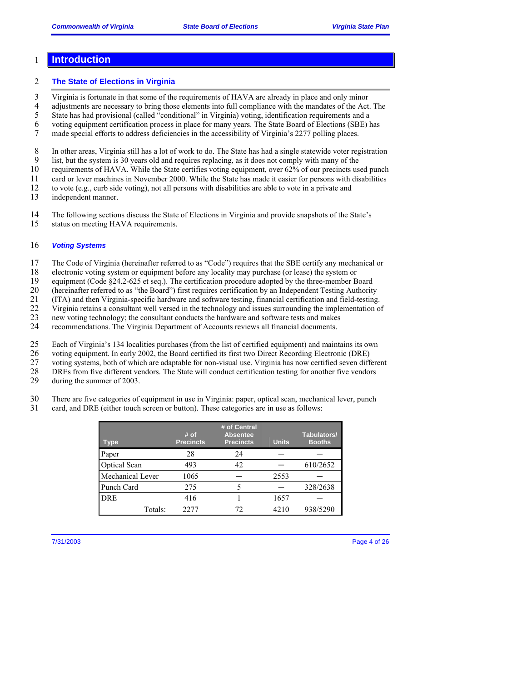#### 1 **Introduction**

#### 2 **The State of Elections in Virginia**

3 Virginia is fortunate in that some of the requirements of HAVA are already in place and only minor

4 adjustments are necessary to bring those elements into full compliance with the mandates of the Act. The

5 State has had provisional (called "conditional" in Virginia) voting, identification requirements and a

6 voting equipment certification process in place for many years. The State Board of Elections (SBE) has

7 made special efforts to address deficiencies in the accessibility of Virginia's 2277 polling places.

8 In other areas, Virginia still has a lot of work to do. The State has had a single statewide voter registration<br>9 list, but the system is 30 years old and requires replacing, as it does not comply with many of the

9 list, but the system is 30 years old and requires replacing, as it does not comply with many of the requirements of HAVA. While the State certifies voting equipment, over 62% of our precincts us

requirements of HAVA. While the State certifies voting equipment, over 62% of our precincts used punch

11 card or lever machines in November 2000. While the State has made it easier for persons with disabilities

12 to vote (e.g., curb side voting), not all persons with disabilities are able to vote in a private and

13 independent manner.

14 The following sections discuss the State of Elections in Virginia and provide snapshots of the State's 15 status on meeting HAVA requirements.

#### 16 *Voting Systems*

17 The Code of Virginia (hereinafter referred to as "Code") requires that the SBE certify any mechanical or

18 electronic voting system or equipment before any locality may purchase (or lease) the system or

19 equipment (Code §24.2-625 et seq.). The certification procedure adopted by the three-member Board

20 (hereinafter referred to as "the Board") first requires certification by an Independent Testing Authority<br>21 (ITA) and then Virginia-specific hardware and software testing, financial certification and field-testing

21 (ITA) and then Virginia-specific hardware and software testing, financial certification and field-testing.

22 Virginia retains a consultant well versed in the technology and issues surrounding the implementation of new voting technology; the consultant conducts the hardware and software tests and makes

new voting technology; the consultant conducts the hardware and software tests and makes

24 recommendations. The Virginia Department of Accounts reviews all financial documents.

25 Each of Virginia's 134 localities purchases (from the list of certified equipment) and maintains its own

26 voting equipment. In early 2002, the Board certified its first two Direct Recording Electronic (DRE)<br>27 voting systems, both of which are adaptable for non-visual use. Virginia has now certified seven different

27 voting systems, both of which are adaptable for non-visual use. Virginia has now certified seven different

28 DREs from five different vendors. The State will conduct certification testing for another five vendors

29 during the summer of 2003.

30 There are five categories of equipment in use in Virginia: paper, optical scan, mechanical lever, punch

31 card, and DRE (either touch screen or button). These categories are in use as follows:

| Type,               | # of<br><b>Precincts</b> | # of Central<br><b>Absentee</b><br><b>Precincts</b> | <b>Units</b> | Tabulators/<br><b>Booths</b> |
|---------------------|--------------------------|-----------------------------------------------------|--------------|------------------------------|
| Paper               | 28                       | 24                                                  |              |                              |
| <b>Optical Scan</b> | 493                      | 42                                                  |              | 610/2652                     |
| Mechanical Lever    | 1065                     |                                                     | 2553         |                              |
| Punch Card          | 275                      |                                                     |              | 328/2638                     |
| <b>DRE</b>          | 416                      |                                                     | 1657         |                              |
| Totals:             | 22.77                    |                                                     | 4210         | 938/5290                     |

7/31/2003 Page 4 of 26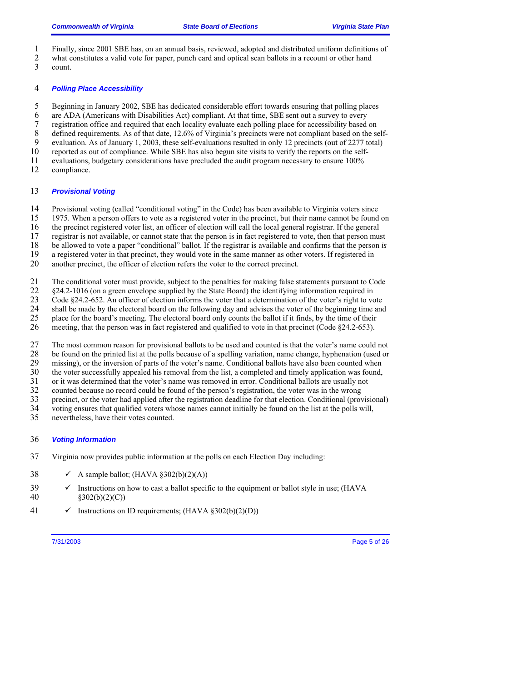- 1 Finally, since 2001 SBE has, on an annual basis, reviewed, adopted and distributed uniform definitions of
- 2 what constitutes a valid vote for paper, punch card and optical scan ballots in a recount or other hand count.
- count.

#### 4 *Polling Place Accessibility*

5 Beginning in January 2002, SBE has dedicated considerable effort towards ensuring that polling places

6 are ADA (Americans with Disabilities Act) compliant. At that time, SBE sent out a survey to every

7 registration office and required that each locality evaluate each polling place for accessibility based on

8 defined requirements. As of that date, 12.6% of Virginia's precincts were not compliant based on the self-<br>9 evaluation As of January 1 2003, these self-evaluations resulted in only 12 precincts (out of 2277 total)

9 evaluation. As of January 1, 2003, these self-evaluations resulted in only 12 precincts (out of 2277 total) reported as out of compliance. While SBE has also begun site visits to verify the reports on the self-

reported as out of compliance. While SBE has also begun site visits to verify the reports on the self-

11 evaluations, budgetary considerations have precluded the audit program necessary to ensure 100%<br>12 compliance.

compliance.

#### 13 *Provisional Voting*

14 Provisional voting (called "conditional voting" in the Code) has been available to Virginia voters since

15 1975. When a person offers to vote as a registered voter in the precinct, but their name cannot be found on

16 the precinct registered voter list, an officer of election will call the local general registrar. If the general

17 registrar is not available, or cannot state that the person is in fact registered to vote, then that person must

18 be allowed to vote a paper "conditional" ballot. If the registrar is available and confirms that the person *is*

19 a registered voter in that precinct, they would vote in the same manner as other voters. If registered in

20 another precinct, the officer of election refers the voter to the correct precinct.

21 The conditional voter must provide, subject to the penalties for making false statements pursuant to Code<br>22 §24.2-1016 (on a green envelope supplied by the State Board) the identifying information required in

22 §24.2-1016 (on a green envelope supplied by the State Board) the identifying information required in

23 Code §24.2-652. An officer of election informs the voter that a determination of the voter's right to vote<br>24 shall be made by the electoral board on the following day and advises the voter of the beginning time and

shall be made by the electoral board on the following day and advises the voter of the beginning time and

25 place for the board's meeting. The electoral board only counts the ballot if it finds, by the time of their 26 meeting, that the person was in fact registered and qualified to vote in that precinct (Code §24.2-653).

27 The most common reason for provisional ballots to be used and counted is that the voter's name could not be found on the printed list at the polls because of a spelling variation, name change, hyphenation (used or 28 be found on the printed list at the polls because of a spelling variation, name change, hyphenation (used or missing), or the inversion of parts of the voter's name. Conditional ballots have also been counted when

missing), or the inversion of parts of the voter's name. Conditional ballots have also been counted when

30 the voter successfully appealed his removal from the list, a completed and timely application was found,

31 or it was determined that the voter's name was removed in error. Conditional ballots are usually not

32 counted because no record could be found of the person's registration, the voter was in the wrong

33 precinct, or the voter had applied after the registration deadline for that election. Conditional (provisional)

34 voting ensures that qualified voters whose names cannot initially be found on the list at the polls will,

35 nevertheless, have their votes counted.

### 36 *Voting Information*

- 37 Virginia now provides public information at the polls on each Election Day including:
- 38  $\checkmark$  A sample ballot; (HAVA §302(b)(2)(A))
- $39 \times$  Instructions on how to cast a ballot specific to the equipment or ballot style in use; (HAVA 40 §302(b)(2)(C))
- 41  $\checkmark$  Instructions on ID requirements; (HAVA §302(b)(2)(D))

7/31/2003 Page 5 of 26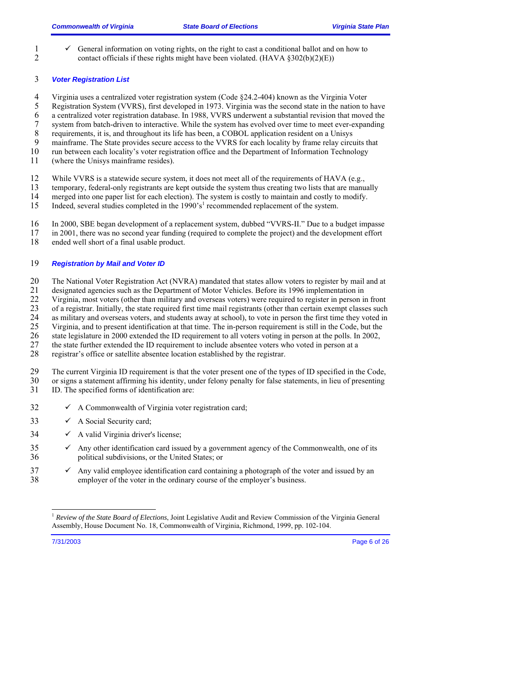1  $\checkmark$  General information on voting rights, on the right to cast a conditional ballot and on how to contact officials if these rights might have been violated. (HAVA  $8302(b)(2)(E)$ ) contact officials if these rights might have been violated. (HAVA  $\S 302(b)(2)(E)$ )

#### 3 *Voter Registration List*

- 4 Virginia uses a centralized voter registration system (Code §24.2-404) known as the Virginia Voter
- 5 Registration System (VVRS), first developed in 1973. Virginia was the second state in the nation to have
- 6 a centralized voter registration database. In 1988, VVRS underwent a substantial revision that moved the
- 7 system from batch-driven to interactive. While the system has evolved over time to meet ever-expanding
- 8 requirements, it is, and throughout its life has been, a COBOL application resident on a Unisys<br>9 mainframe. The State provides secure access to the VVRS for each locality by frame relay circu
- 9 mainframe. The State provides secure access to the VVRS for each locality by frame relay circuits that run between each locality's voter registration office and the Department of Information Technology
- run between each locality's voter registration office and the Department of Information Technology
- 11 (where the Unisys mainframe resides).

12 While VVRS is a statewide secure system, it does not meet all of the requirements of HAVA (e.g.,

- 13 temporary, federal-only registrants are kept outside the system thus creating two lists that are manually
- 14 merged into one paper list for each election). The system is costly to maintain and costly to modify.
- 15 Indeed, several studies completed in the 1990's<sup>1</sup> recommended replacement of the system.
- 16 In 2000, SBE began development of a replacement system, dubbed "VVRS-II." Due to a budget impasse
- 17 in 2001, there was no second year funding (required to complete the project) and the development effort ended well short of a final usable product.
- ended well short of a final usable product.

#### 19 *Registration by Mail and Voter ID*

- 20 The National Voter Registration Act (NVRA) mandated that states allow voters to register by mail and at designated agencies such as the Department of Motor Vehicles. Before its 1996 implementation in
- 21 designated agencies such as the Department of Motor Vehicles. Before its 1996 implementation in<br>22 Virginia, most voters (other than military and overseas voters) were required to register in person in
- 22 Virginia, most voters (other than military and overseas voters) were required to register in person in front of a registrar. Initially, the state required first time mail registrants (other than certain exempt classes s
- 23 of a registrar. Initially, the state required first time mail registrants (other than certain exempt classes such as military and overseas voters, and students away at school), to vote in person the first time they vote
- 24 as military and overseas voters, and students away at school), to vote in person the first time they voted in<br>25 Virginia, and to present identification at that time. The in-person requirement is still in the Code, but
- 25 Virginia, and to present identification at that time. The in-person requirement is still in the Code, but the state legislature in 2000 extended the ID requirement to all voters voting in person at the polls. In 2002,
- 26 state legislature in 2000 extended the ID requirement to all voters voting in person at the polls. In 2002,
- 27 the state further extended the ID requirement to include absentee voters who voted in person at a
- 28 registrar's office or satellite absentee location established by the registrar.
- 29 The current Virginia ID requirement is that the voter present one of the types of ID specified in the Code,<br>30 or signs a statement affirming his identity, under felony penalty for false statements, in lieu of presentin 30 or signs a statement affirming his identity, under felony penalty for false statements, in lieu of presenting 31 ID. The specified forms of identification are:
- ID. The specified forms of identification are:
- $32 \times A$  Commonwealth of Virginia voter registration card;
- $33 \times A$  Social Security card;
- $34 \times A$  valid Virginia driver's license;
- $35 \times$  Any other identification card issued by a government agency of the Commonwealth, one of its 36 political subdivisions, or the United States; or
- $37 \times$  Any valid employee identification card containing a photograph of the voter and issued by an 38 employer of the voter in the ordinary course of the employer's business.

-

7/31/2003 Page 6 of 26

<sup>1</sup> *Review of the State Board of Elections*, Joint Legislative Audit and Review Commission of the Virginia General Assembly, House Document No. 18, Commonwealth of Virginia, Richmond, 1999, pp. 102-104.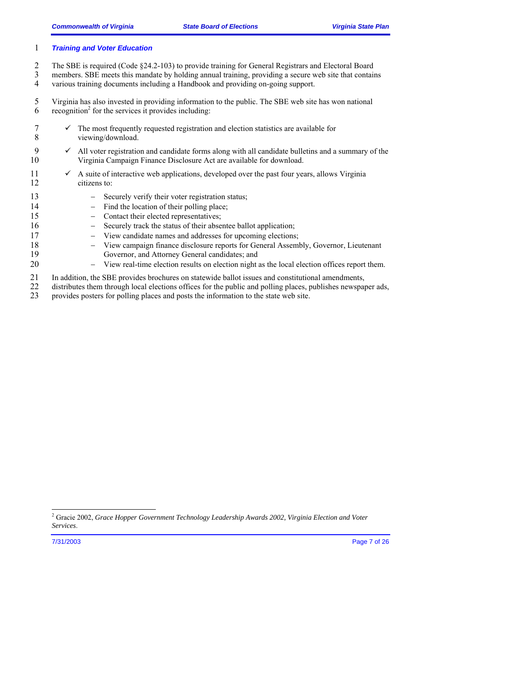#### 1 *Training and Voter Education*

- 2 The SBE is required (Code §24.2-103) to provide training for General Registrars and Electoral Board<br>3 members. SBE meets this mandate by holding annual training, providing a secure web site that contain
- members. SBE meets this mandate by holding annual training, providing a secure web site that contains 4 various training documents including a Handbook and providing on-going support.
- 5 Virginia has also invested in providing information to the public. The SBE web site has won national 6 recognition<sup>2</sup> for the services it provides including:
- $7 \times$  The most frequently requested registration and election statistics are available for 8 viewing/download.
- 9  $\checkmark$  All voter registration and candidate forms along with all candidate bulletins and a summary of the 10 Virginia Campaign Finance Disclosure Act are available for download.
- $11 \times$  A suite of interactive web applications, developed over the past four years, allows Virginia 12 citizens to:
- 13 − Securely verify their voter registration status;
- 14 − Find the location of their polling place;
- 15 − Contact their elected representatives;
- 16 − Securely track the status of their absentee ballot application;
- 17 − View candidate names and addresses for upcoming elections;
- 18 − View campaign finance disclosure reports for General Assembly, Governor, Lieutenant 19 Governor, and Attorney General candidates; and
- 20 − View real-time election results on election night as the local election offices report them.
- 21 In addition, the SBE provides brochures on statewide ballot issues and constitutional amendments,
- 22 distributes them through local elections offices for the public and polling places, publishes newspaper ads,<br>23 provides posters for polling places and posts the information to the state web site.
- provides posters for polling places and posts the information to the state web site.

-

7/31/2003 Page 7 of 26

<sup>2</sup> Gracie 2002, *Grace Hopper Government Technology Leadership Awards 2002, Virginia Election and Voter Services*.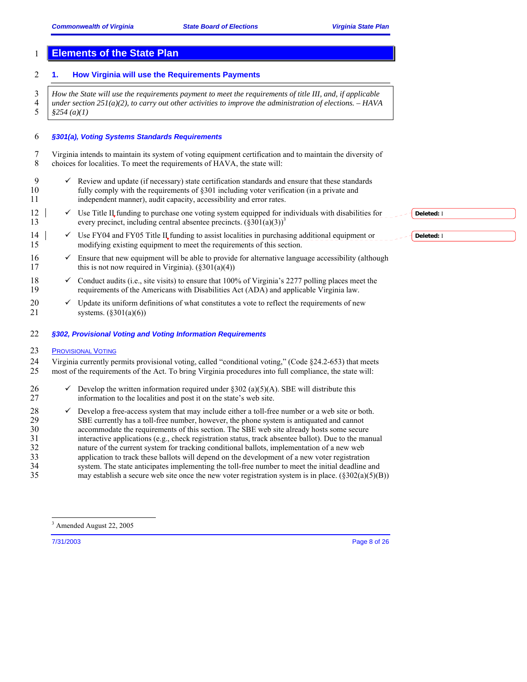## 1 **Elements of the State Plan**

#### 2 **1. How Virginia will use the Requirements Payments**

3 *How the State will use the requirements payment to meet the requirements of title III, and, if applicable*  4 *under section 251(a)(2), to carry out other activities to improve the administration of elections. – HAVA*  5 *§254 (a)(1)* 

#### 6 *§301(a), Voting Systems Standards Requirements*

7 Virginia intends to maintain its system of voting equipment certification and to maintain the diversity of 8 choices for localities. To meet the requirements of HAVA, the state will:

- 9  $\checkmark$  Review and update (if necessary) state certification standards and ensure that these standards fully comply with the requirements of §301 including voter verification (in a private and fully comply with the requirements of  $\S 301$  including voter verification (in a private and 11 independent manner), audit capacity, accessibility and error rates.
- 12 9 Use Title II funding to purchase one voting system equipped for individuals with disabilities for every precinct, including central absentee precincts.  $(\frac{8301(a)}{3})^3$ every precinct, including central absentee precincts.  $(\S 301(a)(3))^3$
- 14  $\blacktriangleright$  Use FY04 and FY05 Title II funding to assist localities in purchasing additional equipment or 15 modifying existing equipment to meet the requirements of this section.
- $16 \times$  Ensure that new equipment will be able to provide for alternative language accessibility (although 17 this is not now required in Virginia).  $(\frac{2301(a)(4)}{a})$
- 18  $\checkmark$  Conduct audits (i.e., site visits) to ensure that 100% of Virginia's 2277 polling places meet the requirements of the Americans with Disabilities Act (ADA) and applicable Virginia law. 19 requirements of the Americans with Disabilities Act (ADA) and applicable Virginia law.
- 20  $\checkmark$  Update its uniform definitions of what constitutes a vote to reflect the requirements of new systems. (\$301(a)(6)) systems.  $(\S 301(a)(6))$
- 22 *§302, Provisional Voting and Voting Information Requirements*

#### 23 PROVISIONAL VOTING

24 Virginia currently permits provisional voting, called "conditional voting," (Code §24.2-653) that meets 25 most of the requirements of the Act. To bring Virginia procedures into full compliance, the state will: 25 most of the requirements of the Act. To bring Virginia procedures into full compliance, the state will:

- 26  $\checkmark$  Develop the written information required under §302 (a)(5)(A). SBE will distribute this 27 information to the localities and post it on the state's web site.
- 28  $\checkmark$  Develop a free-access system that may include either a toll-free number or a web site or both. 29 SBE currently has a toll-free number, however, the phone system is antiquated and cannot 30 accommodate the requirements of this section. The SBE web site already hosts some secure 31 interactive applications (e.g., check registration status, track absentee ballot). Due to the manual 32 nature of the current system for tracking conditional ballots, implementation of a new web 33 application to track these ballots will depend on the development of a new voter registration 34 system. The state anticipates implementing the toll-free number to meet the initial deadline and 35 may establish a secure web site once the new voter registration system is in place.  $(\frac{2302(a)(5)}{B})$

-

**Deleted:** I

**Deleted:** I

7/31/2003 Page 8 of 26

<sup>3</sup> Amended August 22, 2005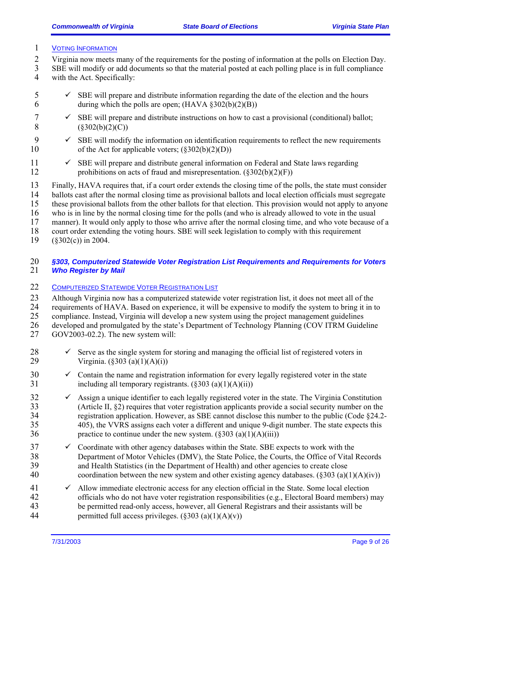#### 1 VOTING INFORMATION

- 2 Virginia now meets many of the requirements for the posting of information at the polls on Election Day.<br>3 SBE will modify or add documents so that the material posted at each polling place is in full compliance 3 SBE will modify or add documents so that the material posted at each polling place is in full compliance 4 with the Act. Specifically:
- 5  $\checkmark$  SBE will prepare and distribute information regarding the date of the election and the hours during which the polls are open; (HAVA  $\S 302(b)(2)(B)$ ) during which the polls are open;  $(HAVA \S 302(b)(2)(B))$
- 7  $\checkmark$  SBE will prepare and distribute instructions on how to cast a provisional (conditional) ballot;<br>8  $(\$302(b)(2)(C))$  $(\$302(b)(2)(C))$
- 9  $\checkmark$  SBE will modify the information on identification requirements to reflect the new requirements 10 of the Act for applicable voters;  $(\frac{202(b)}{(2)(D)})$
- $11 \times$  SBE will prepare and distribute general information on Federal and State laws regarding 12 prohibitions on acts of fraud and misrepresentation.  $(\S 302(b)(2)(F))$
- 13 Finally, HAVA requires that, if a court order extends the closing time of the polls, the state must consider 14 ballots cast after the normal closing time as provisional ballots and local election officials must segregate<br>15 these provisional ballots from the other ballots for that election. This provision would not apply to anyo
- these provisional ballots from the other ballots for that election. This provision would not apply to anyone
- 16 who is in line by the normal closing time for the polls (and who is already allowed to vote in the usual manner). It would only apply to those who arrive after the normal closing time, and who vote because
- manner). It would only apply to those who arrive after the normal closing time, and who vote because of a
- 18 court order extending the voting hours. SBE will seek legislation to comply with this requirement (§302(c)) in 2004.
- $(\$302(c))$  in 2004.

#### 20 *§303, Computerized Statewide Voter Registration List Requirements and Requirements for Voters*  **Who Register by Mail**

#### 22 COMPUTERIZED STATEWIDE VOTER REGISTRATION LIST

23 Although Virginia now has a computerized statewide voter registration list, it does not meet all of the requirements of HAVA. Based on experience, it will be expensive to modify the system to bring it in t 24 requirements of HAVA. Based on experience, it will be expensive to modify the system to bring it in to

- 25 compliance. Instead, Virginia will develop a new system using the project management guidelines
- 26 developed and promulgated by the state's Department of Technology Planning (COV ITRM Guideline
- 27 GOV2003-02.2). The new system will:
- 28  $\checkmark$  Serve as the single system for storing and managing the official list of registered voters in 29 Virginia. (§303 (a)(1)(A)(i))
- $30 \,$   $\checkmark$  Contain the name and registration information for every legally registered voter in the state 31 including all temporary registrants. (§303 (a)(1)(A)(ii))
- 32  $\checkmark$  Assign a unique identifier to each legally registered voter in the state. The Virginia Constitution (Article II, §2) requires that voter registration applicants provide a social security number on the (Article II,  $\S 2$ ) requires that voter registration applicants provide a social security number on the 34 registration application. However, as SBE cannot disclose this number to the public (Code §24.2- 35 405), the VVRS assigns each voter a different and unique 9-digit number. The state expects this 36 practice to continue under the new system.  $(\frac{8303}{a})(1)(A)(iii))$
- $37 \times$  Coordinate with other agency databases within the State. SBE expects to work with the 38 Department of Motor Vehicles (DMV), the State Police, the Courts, the Office of Vital Records 39 and Health Statistics (in the Department of Health) and other agencies to create close 40 coordination between the new system and other existing agency databases. (§303 (a)(1)(A)(iv))
- $41 \times$  Allow immediate electronic access for any election official in the State. Some local election 42 officials who do not have voter registration responsibilities (e.g., Electoral Board members) may<br>43 be permitted read-only access, however, all General Registrars and their assistants will be be permitted read-only access, however, all General Registrars and their assistants will be 44 permitted full access privileges.  $(\S 303 (a)(1)(A)(v))$

7/31/2003 Page 9 of 26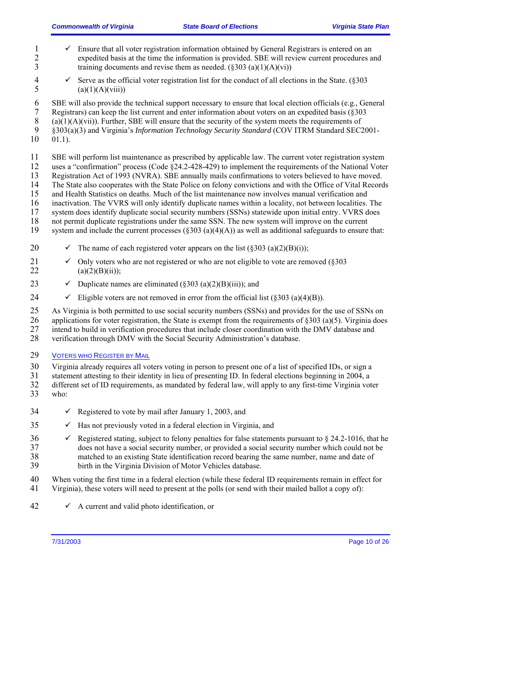- 1  $\checkmark$  Ensure that all voter registration information obtained by General Registrars is entered on an expedited basis at the time the information is provided. SBE will review current procedures a 2 expedited basis at the time the information is provided. SBE will review current procedures and training documents and revise them as needed.  $(\frac{203}{a})(1)(A)(vi)$ training documents and revise them as needed.  $(\S 303 (a)(1)(A)(vi))$
- 4  $\checkmark$  Serve as the official voter registration list for the conduct of all elections in the State. (§303 (a)(1)(A)(viii))  $(a)(1)(A)(viii)$
- 6 SBE will also provide the technical support necessary to ensure that local election officials (e.g., General
- 7 Registrars) can keep the list current and enter information about voters on an expedited basis (§303

8 (a)(1)(A)(vii)). Further, SBE will ensure that the security of the system meets the requirements of  $\overline{9}$  (8303(a)(3) and Virginia's *Information Technology Security Standard* (COV ITRM Standard SEC2)

- 9 §303(a)(3) and Virginia's *Information Technology Security Standard* (COV ITRM Standard SEC2001-
- $01.1$ ).

11 SBE will perform list maintenance as prescribed by applicable law. The current voter registration system

12 uses a "confirmation" process (Code §24.2-428-429) to implement the requirements of the National Voter

13 Registration Act of 1993 (NVRA). SBE annually mails confirmations to voters believed to have moved.

14 The State also cooperates with the State Police on felony convictions and with the Office of Vital Records<br>15 and Health Statistics on deaths. Much of the list maintenance now involves manual verification and

and Health Statistics on deaths. Much of the list maintenance now involves manual verification and

16 inactivation. The VVRS will only identify duplicate names within a locality, not between localities. The system does identify duplicate social security numbers (SSNs) statewide upon initial entry. VVRS does system does identify duplicate social security numbers (SSNs) statewide upon initial entry. VVRS does

- 18 not permit duplicate registrations under the same SSN. The new system will improve on the current
- 19 system and include the current processes  $(\S 303 (a)(4)(A))$  as well as additional safeguards to ensure that:
- 20  $\checkmark$  The name of each registered voter appears on the list (§303 (a)(2)(B)(i));
- 21  $\checkmark$  Only voters who are not registered or who are not eligible to vote are removed (§303) 22 (a)(2)(B)(ii));
- 23  $\checkmark$  Duplicate names are eliminated (§303 (a)(2)(B)(iii)); and
- 24  $\checkmark$  Eligible voters are not removed in error from the official list (§303 (a)(4)(B)).
- 25 As Virginia is both permitted to use social security numbers (SSNs) and provides for the use of SSNs on
- 26 applications for voter registration, the State is exempt from the requirements of  $\S 303$  (a)(5). Virginia does 27 intend to build in verification procedures that include closer coordination with the DMV database and
- 28 verification through DMV with the Social Security Administration's database.
- 29 VOTERS WHO REGISTER BY MAIL
- 30 Virginia already requires all voters voting in person to present one of a list of specified IDs, or sign a
- 31 statement attesting to their identity in lieu of presenting ID. In federal elections beginning in 2004, a
- 32 different set of ID requirements, as mandated by federal law, will apply to any first-time Virginia voter 33 who:
- $34 \times$  Registered to vote by mail after January 1, 2003, and
- $35 \times$  Has not previously voted in a federal election in Virginia, and
- $36 \times$  Registered stating, subject to felony penalties for false statements pursuant to § 24.2-1016, that he 37 does not have a social security number, or provided a social security number which could not be 38 matched to an existing State identification record bearing the same number, name and date of 39 birth in the Virginia Division of Motor Vehicles database.
- 40 When voting the first time in a federal election (while these federal ID requirements remain in effect for 41 Virginia), these voters will need to present at the polls (or send with their mailed ballot a copy of):
- $42 \times$  A current and valid photo identification, or

7/31/2003 Page 10 of 26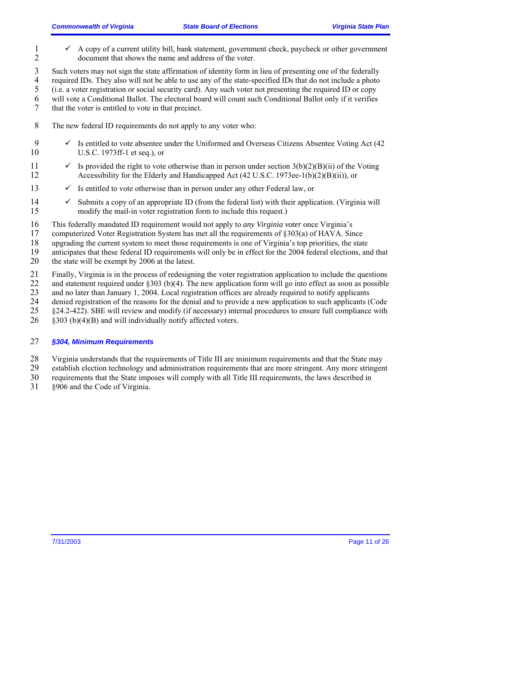- 1 A copy of a current utility bill, bank statement, government check, paycheck or other government document that shows the name and address of the voter. document that shows the name and address of the voter.
- 3 Such voters may not sign the state affirmation of identity form in lieu of presenting one of the federally required IDs. They also will not be able to use any of the state-specified IDs that do not include a photo 4 required IDs. They also will not be able to use any of the state-specified IDs that do not include a photo<br>5 (i.e. a voter registration or social security card). Any such voter not presenting the required ID or copy 5 (i.e. a voter registration or social security card). Any such voter not presenting the required ID or copy
- 6 will vote a Conditional Ballot. The electoral board will count such Conditional Ballot only if it verifies 7 that the voter is entitled to vote in that precinct.
- 8 The new federal ID requirements do not apply to any voter who:
- 9 9 Is entitled to vote absentee under the Uniformed and Overseas Citizens Absentee Voting Act (42 10 U.S.C. 1973ff-1 et seq.), or
- 11  $\checkmark$  Is provided the right to vote otherwise than in person under section 3(b)(2)(B)(ii) of the Voting 12 Accessibility for the Elderly and Handicapped Act (42 U.S.C. 1973ee-1(b)(2)(B)(ii)), or
- 13  $\checkmark$  Is entitled to vote otherwise than in person under any other Federal law, or
- 14  $\checkmark$  Submits a copy of an appropriate ID (from the federal list) with their application. (Virginia will 15 modify the mail-in voter registration form to include this request.)
- 16 This federally mandated ID requirement would not apply to *any Virginia voter* once Virginia's
- 17 computerized Voter Registration System has met all the requirements of §303(a) of HAVA. Since
- 18 upgrading the current system to meet those requirements is one of Virginia's top priorities, the state
- 19 anticipates that these federal ID requirements will only be in effect for the 2004 federal elections, and that
- 20 the state will be exempt by 2006 at the latest.
- 21 Finally, Virginia is in the process of redesigning the voter registration application to include the questions
- 22 and statement required under §303 (b)(4). The new application form will go into effect as soon as possible and no later than January 1, 2004. Local registration offices are already required to notify applicants
- and no later than January 1, 2004. Local registration offices are already required to notify applicants
- 24 denied registration of the reasons for the denial and to provide a new application to such applicants (Code 25 §24.2-422). SBE will review and modify (if necessary) internal procedures to ensure full compliance with
- $26$  §303 (b)(4)(B) and will individually notify affected voters.

#### 27 *§304, Minimum Requirements*

- 28 Virginia understands that the requirements of Title III are minimum requirements and that the State may establish election technology and administration requirements that are more stringent. Any more stringen
- establish election technology and administration requirements that are more stringent. Any more stringent
- 30 requirements that the State imposes will comply with all Title III requirements, the laws described in
- 31 §906 and the Code of Virginia.

7/31/2003 Page 11 of 26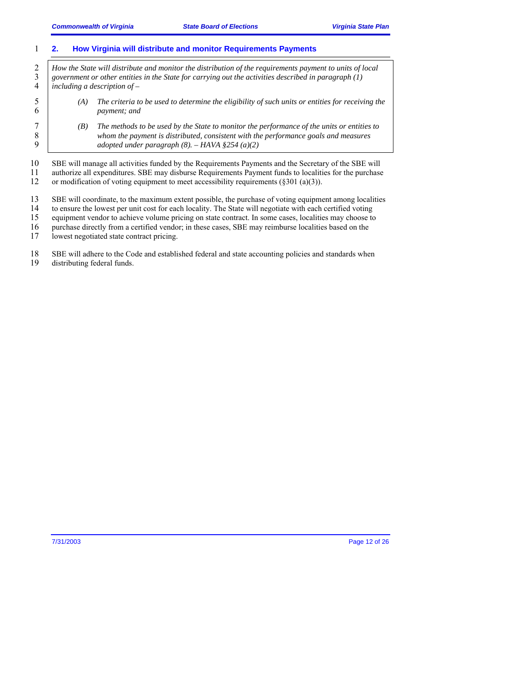#### 1 **2. How Virginia will distribute and monitor Requirements Payments**

<sup>2</sup> *How the State will distribute and monitor the distribution of the requirements payment to units of local*  $\frac{3}{2}$  *government or other entities in the State for carrying out the activities described in paragraph* (1 3 *government or other entities in the State for carrying out the activities described in paragraph (1)*  4 *including a description of –* 

- 5 *(A) The criteria to be used to determine the eligibility of such units or entities for receiving the*  6 *payment; and*
- 

7 *(B) The methods to be used by the State to monitor the performance of the units or entities to*  8 *whom the payment is distributed, consistent with the performance goals and measures adopted under paragraph* (8). – HAVA \$254 (a)(2) 9 *adopted under paragraph (8). – HAVA §254 (a)(2)* 

10 SBE will manage all activities funded by the Requirements Payments and the Secretary of the SBE will

11 authorize all expenditures. SBE may disburse Requirements Payment funds to localities for the purchase

12 or modification of voting equipment to meet accessibility requirements (§301 (a)(3)).

13 SBE will coordinate, to the maximum extent possible, the purchase of voting equipment among localities to ensure the lowest per unit cost for each locality. The State will negotiate with each certified voting

14 to ensure the lowest per unit cost for each locality. The State will negotiate with each certified voting<br>15 equipment vendor to achieve volume pricing on state contract. In some cases, localities may choose to

15 equipment vendor to achieve volume pricing on state contract. In some cases, localities may choose to

16 purchase directly from a certified vendor; in these cases, SBE may reimburse localities based on the

17 lowest negotiated state contract pricing.

18 SBE will adhere to the Code and established federal and state accounting policies and standards when<br>19 distributing federal funds.

distributing federal funds.

7/31/2003 Page 12 of 26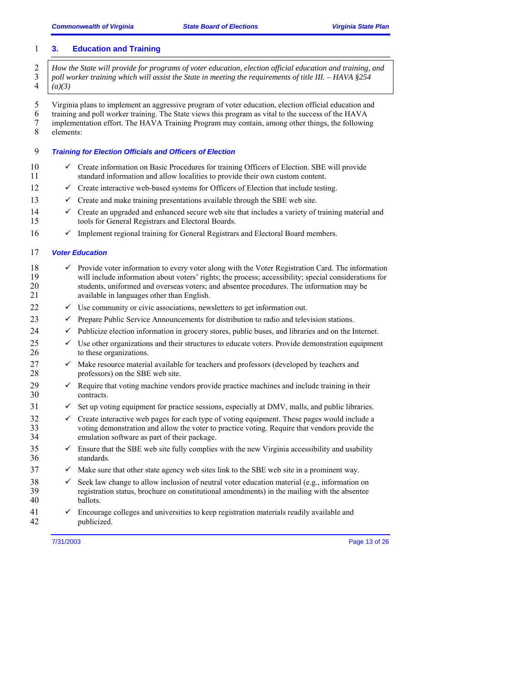#### 1 **3. Education and Training**

<sup>2</sup> *How the State will provide for programs of voter education, election official education and training, and* <sup>3</sup> *poll worker training which will assist the State in meeting the requirements of title III. – HAVA §254* 3 *poll worker training which will assist the State in meeting the requirements of title III. – HAVA §254*  4 *(a)(3)* 

5 Virginia plans to implement an aggressive program of voter education, election official education and

6 training and poll worker training. The State views this program as vital to the success of the HAVA

- 7 implementation effort. The HAVA Training Program may contain, among other things, the following<br>8 elements:
- elements:

## 9 *Training for Election Officials and Officers of Election*

- $10 \times$  Create information on Basic Procedures for training Officers of Election. SBE will provide 11 standard information and allow localities to provide their own custom content.
- $12 \times$  Create interactive web-based systems for Officers of Election that include testing.
- 13  $\checkmark$  Create and make training presentations available through the SBE web site.
- 14  $\checkmark$  Create an upgraded and enhanced secure web site that includes a variety of training material and 15 tools for General Registrars and Electoral Boards.
- $16 \times$  Implement regional training for General Registrars and Electoral Board members.

## 17 *Voter Education*

- 18  $\checkmark$  Provide voter information to every voter along with the Voter Registration Card. The information will include information about voters' rights: the process: accessibility: special considerations for 19 will include information about voters' rights; the process; accessibility; special considerations for<br>20 students, uniformed and overseas voters; and absentee procedures. The information may be students, uniformed and overseas voters; and absentee procedures. The information may be 21 available in languages other than English.
- $22$   $\checkmark$  Use community or civic associations, newsletters to get information out.
- 23  $\checkmark$  Prepare Public Service Announcements for distribution to radio and television stations.
- $24 \rightarrow$  Publicize election information in grocery stores, public buses, and libraries and on the Internet.
- $25 \times$  Use other organizations and their structures to educate voters. Provide demonstration equipment 26 to these organizations.
- 27 Make resource material available for teachers and professors (developed by teachers and professors) on the SBE web site. professors) on the SBE web site.
- 29  $\checkmark$  Require that voting machine vendors provide practice machines and include training in their contracts. contracts.
- $31 \times$  Set up voting equipment for practice sessions, especially at DMV, malls, and public libraries.
- $\degree$  32  $\degree$  Create interactive web pages for each type of voting equipment. These pages would include a voting demonstration and allow the voter to practice voting. Require that vendors provide the voting demonstration and allow the voter to practice voting. Require that vendors provide the 34 emulation software as part of their package.
- $35 \times$  Ensure that the SBE web site fully complies with the new Virginia accessibility and usability 36 standards.
- $37 \times$  Make sure that other state agency web sites link to the SBE web site in a prominent way.
- 38  $\checkmark$  Seek law change to allow inclusion of neutral voter education material (e.g., information on 39 registration status, brochure on constitutional amendments) in the mailing with the absentee 40 ballots.
- 41  $\checkmark$  Encourage colleges and universities to keep registration materials readily available and publicized. publicized.

7/31/2003 Page 13 of 26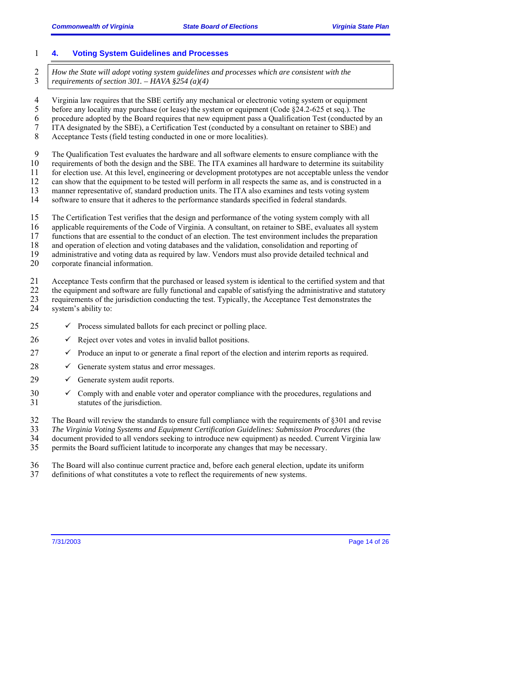## 1 **4. Voting System Guidelines and Processes**

<sup>2</sup> *How the State will adopt voting system guidelines and processes which are consistent with the requirements of section 301. – HAVA §254 (a)(4)* 3 *requirements of section 301. – HAVA §254 (a)(4)* 

- 4 Virginia law requires that the SBE certify any mechanical or electronic voting system or equipment<br>5 before any locality may purchase (or lease) the system or equipment (Code \$24.2-625 et seq.). The
- 5 before any locality may purchase (or lease) the system or equipment (Code §24.2-625 et seq.). The
- 6 procedure adopted by the Board requires that new equipment pass a Qualification Test (conducted by an  $7$  ITA designated by the SBE), a Certification Test (conducted by a consultant on retainer to SBE) and
- 7 ITA designated by the SBE), a Certification Test (conducted by a consultant on retainer to SBE) and
- 8 Acceptance Tests (field testing conducted in one or more localities).
- 9 The Qualification Test evaluates the hardware and all software elements to ensure compliance with the requirements of both the design and the SBE. The ITA examines all hardware to determine its suitability
- 10 requirements of both the design and the SBE. The ITA examines all hardware to determine its suitability
- 11 for election use. At this level, engineering or development prototypes are not acceptable unless the vendor
- 12 can show that the equipment to be tested will perform in all respects the same as, and is constructed in a 13 manner representative of, standard production units. The ITA also examines and tests voting system
- 14 software to ensure that it adheres to the performance standards specified in federal standards.
- 15 The Certification Test verifies that the design and performance of the voting system comply with all
- 16 applicable requirements of the Code of Virginia. A consultant, on retainer to SBE, evaluates all system
- 17 functions that are essential to the conduct of an election. The test environment includes the preparation
- 18 and operation of election and voting databases and the validation, consolidation and reporting of
- 19 administrative and voting data as required by law. Vendors must also provide detailed technical and
- 20 corporate financial information.

21 Acceptance Tests confirm that the purchased or leased system is identical to the certified system and that the equipment and software are fully functional and capable of satisfying the administrative and statutory

- 22 the equipment and software are fully functional and capable of satisfying the administrative and statutory<br>23 requirements of the jurisdiction conducting the test. Typically, the Acceptance Test demonstrates the 23 requirements of the jurisdiction conducting the test. Typically, the Acceptance Test demonstrates the
- 24 system's ability to:
- $25 \times$  Process simulated ballots for each precinct or polling place.
- $26 \times$  Reject over votes and votes in invalid ballot positions.
- $27 \times$  Produce an input to or generate a final report of the election and interim reports as required.
- $28 \rightarrow$  Generate system status and error messages.
- $29 \quad \checkmark$  Generate system audit reports.
- $30 \, \text{C}$  Comply with and enable voter and operator compliance with the procedures, regulations and 31 statutes of the jurisdiction.
- 32 The Board will review the standards to ensure full compliance with the requirements of §301 and revise
- 33 *The Virginia Voting Systems and Equipment Certification Guidelines: Submission Procedures* (the
- 34 document provided to all vendors seeking to introduce new equipment) as needed. Current Virginia law
- 35 permits the Board sufficient latitude to incorporate any changes that may be necessary.
- 36 The Board will also continue current practice and, before each general election, update its uniform
- 37 definitions of what constitutes a vote to reflect the requirements of new systems.

7/31/2003 Page 14 of 26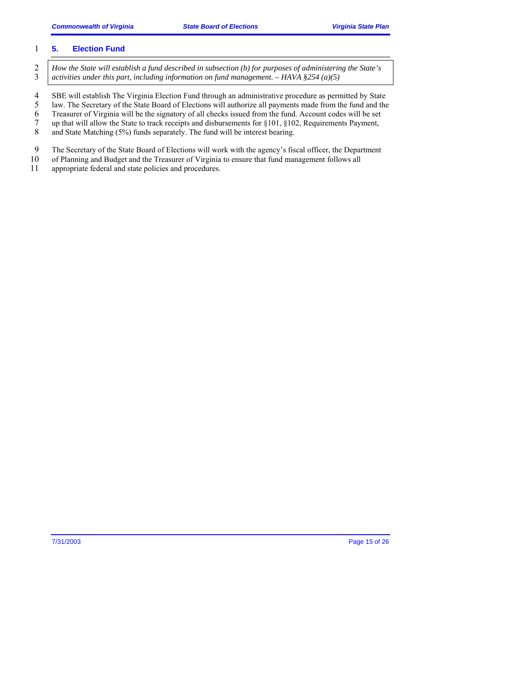#### 1 **5. Election Fund**

- 2 *How the State will establish a fund described in subsection (b) for purposes of administering the State's*<br>3 *activities under this part, including information on fund management. HAVA §254 (a)(5)* 3 *activities under this part, including information on fund management. – HAVA §254 (a)(5)*
- 4 SBE will establish The Virginia Election Fund through an administrative procedure as permitted by State<br>5 law. The Secretary of the State Board of Elections will authorize all payments made from the fund and the
- 5 law. The Secretary of the State Board of Elections will authorize all payments made from the fund and the
- 6 Treasurer of Virginia will be the signatory of all checks issued from the fund. Account codes will be set 7 up that will allow the State to track receipts and disbursements for  $$101, $102$ . Requirements Payment.
- 7 up that will allow the State to track receipts and disbursements for §101, §102, Requirements Payment, and State Matching (5%) funds separately. The fund will be interest bearing. and State Matching (5%) funds separately. The fund will be interest bearing.
- 9 The Secretary of the State Board of Elections will work with the agency's fiscal officer, the Department
- 10 of Planning and Budget and the Treasurer of Virginia to ensure that fund management follows all
- 11 appropriate federal and state policies and procedures.

7/31/2003 Page 15 of 26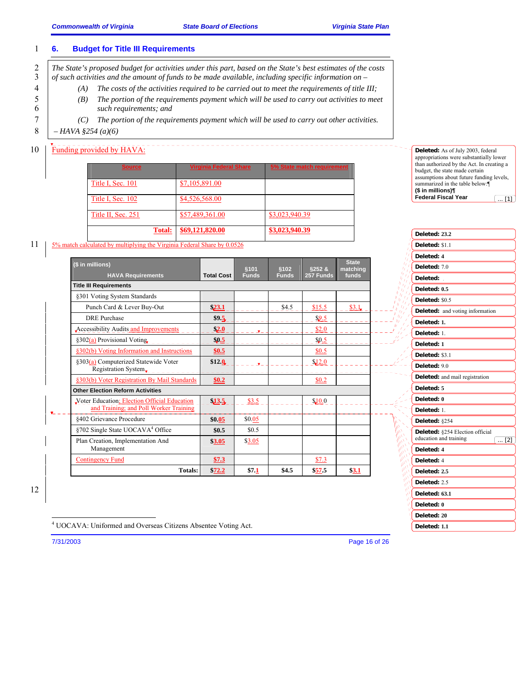#### 1 **6. Budget for Title III Requirements**

2 <sup>*The State's proposed budget for activities under this part, based on the State's best estimates of the costs* 3 *of such activities and the amount of funds to be made available, including specific information on* –</sup> 3 *of such activities and the amount of funds to be made available, including specific information on –* 

- 4 *(A) The costs of the activities required to be carried out to meet the requirements of title III;*
- 5 *(B) The portion of the requirements payment which will be used to carry out activities to meet*  6 *such requirements; and*
- 7 *(C) The portion of the requirements payment which will be used to carry out other activities.*
- 8  *HAVA §254 (a)(6)*

## 10 **Funding provided by HAVA:**

| <b>Source</b>      | <b>Virginia Federal Share</b> | 5% State match requirement |
|--------------------|-------------------------------|----------------------------|
| Title I, Sec. 101  | \$7,105,891.00                |                            |
| Title I, Sec. 102  | \$4,526,568.00                |                            |
| Title II, Sec. 251 | \$57,489,361.00               | \$3,023,940.39             |
| <b>Total:</b>      | \$69,121,820.00               | \$3,023,940.39             |

#### **Deleted:** As of July 2003, federal appropriations were substantially lower than authorized by the Act. In creating a budget, the state made certain assumptions about future funding levels, summarized in the table below: **(\$ in millions)¶ Federal Fiscal Year**  $\overline{.111}$

| Deleted: 23.2                          |
|----------------------------------------|
| Deleted: \$1.1                         |
| Deleted: 4                             |
| Deleted: 70                            |
| Deleted:                               |
| Deleted: 0.5                           |
| Deleted: \$0.5                         |
| <b>Deleted:</b> and voting information |
| Deleted: 1.                            |
| Deleted: 1.                            |
| Deleted: 1                             |
| Deleted: \$3.1                         |
| Deleted: 90                            |
| Deleted: and mail registration         |
| Deleted: 5                             |
| Deleted: 0                             |
| Deleted: 1                             |
| Deleted: §254                          |
| Deleted: §254 Election official        |
| education and training<br>$\dots$ [2]  |
| Deleted: 4<br>Deleted: 4               |
|                                        |
| Deleted: 2.5                           |
| Deleted: 2.5                           |
| Deleted: 63.1                          |
| Deleted: 0                             |
| Deleted: 20                            |
| Deleted: 1.1                           |

11 5% match calculated by multiplying the Virginia Federal Share by 0.0526

| (\$ in millions)                                                                       |                   | <b>§101</b>  | \$102        | §252 &    | <b>State</b><br>matching |
|----------------------------------------------------------------------------------------|-------------------|--------------|--------------|-----------|--------------------------|
| <b>HAVA Requirements</b>                                                               | <b>Total Cost</b> | <b>Funds</b> | <b>Funds</b> | 257 Funds | funds                    |
| <b>Title III Requirements</b>                                                          |                   |              |              |           |                          |
| §301 Voting System Standards                                                           |                   |              |              |           |                          |
| Punch Card & Lever Buy-Out                                                             | 23.1              |              | \$4.5        | \$15.5    | \$3.1                    |
| <b>DRE</b> Purchase                                                                    | \$9.5             |              |              | \$9.5     |                          |
| <b>Accessibility Audits and Improvements</b>                                           | \$2.0             |              |              | \$2.0     |                          |
| §302(a) Provisional Voting                                                             | \$0.5             |              |              | \$0.5     |                          |
| §302(b) Voting Information and Instructions                                            | \$0.5             |              |              | \$0.5     |                          |
| §303(a) Computerized Statewide Voter<br>Registration System.                           | \$12.0            |              |              | \$12.0    |                          |
| §303(b) Voter Registration By Mail Standards                                           | \$0.2\$           |              |              | \$0.2     |                          |
| <b>Other Election Reform Activities</b>                                                |                   |              |              |           |                          |
| Voter Education; Election Official Education<br>and Training; and Poll Worker Training | 13.5              | \$3.5        |              | \$10.0    |                          |
| §402 Grievance Procedure                                                               | \$0.05            | \$0.05       |              |           |                          |
| §702 Single State UOCAVA <sup>4</sup> Office                                           | \$0.5             | \$0.5        |              |           |                          |
| Plan Creation, Implementation And<br>Management                                        | \$3.05            | \$3.05       |              |           |                          |
| <b>Contingency Fund</b>                                                                | \$7.3             |              |              | \$7.3     |                          |
| Totals:                                                                                | \$72.2            | \$7.1        | \$4.5        | \$57.5    | \$3.1                    |

12

4 UOCAVA: Uniformed and Overseas Citizens Absentee Voting Act.

-

7/31/2003 Page 16 of 26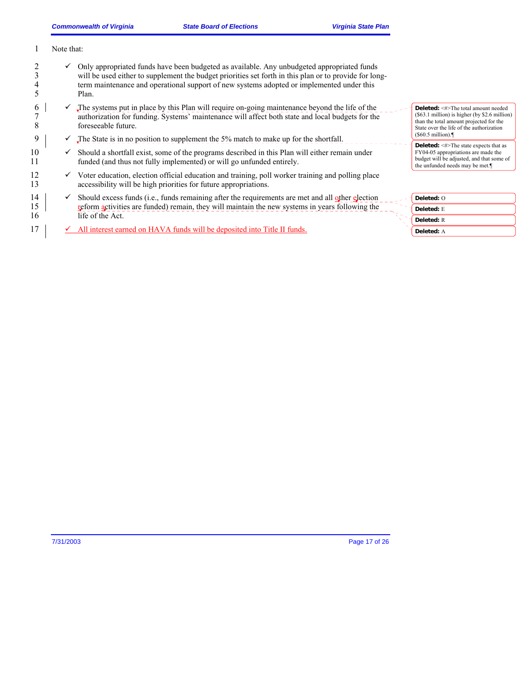|          | Note that: |                                                                                                                                                                                                                                                                                                            |                                                                                                                                                                                      |
|----------|------------|------------------------------------------------------------------------------------------------------------------------------------------------------------------------------------------------------------------------------------------------------------------------------------------------------------|--------------------------------------------------------------------------------------------------------------------------------------------------------------------------------------|
|          |            | Only appropriated funds have been budgeted as available. Any unbudgeted appropriated funds<br>will be used either to supplement the budget priorities set forth in this plan or to provide for long-<br>term maintenance and operational support of new systems adopted or implemented under this<br>Plan. |                                                                                                                                                                                      |
| O        |            | The systems put in place by this Plan will require on-going maintenance beyond the life of the<br>authorization for funding. Systems' maintenance will affect both state and local budgets for the<br>foreseeable future.                                                                                  | <b>Deleted:</b> <#>The total amount needed<br>$(\$63.1$ million) is higher (by \$2.6 million)<br>than the total amount projected for the<br>State over the life of the authorization |
| 9        |            | The State is in no position to supplement the 5% match to make up for the shortfall.                                                                                                                                                                                                                       | $(\$60.5$ million).                                                                                                                                                                  |
| 10<br>11 |            | Should a shortfall exist, some of the programs described in this Plan will either remain under<br>funded (and thus not fully implemented) or will go unfunded entirely.                                                                                                                                    | <b>Deleted:</b> $\leq \neq$ The state expects that as<br>FY04-05 appropriations are made the<br>budget will be adjusted, and that some of<br>the unfunded needs may be met.          |
| 12<br>13 |            | Voter education, election official education and training, poll worker training and polling place<br>accessibility will be high priorities for future appropriations.                                                                                                                                      |                                                                                                                                                                                      |
| 14       |            | Should excess funds (i.e., funds remaining after the requirements are met and all other election                                                                                                                                                                                                           | Deleted: O                                                                                                                                                                           |
| 15       |            | reform activities are funded) remain, they will maintain the new systems in years following the                                                                                                                                                                                                            | Deleted: E                                                                                                                                                                           |
| 16       |            | life of the Act.                                                                                                                                                                                                                                                                                           | <b>Deleted: R</b>                                                                                                                                                                    |
| 17       |            | All interest earned on HAVA funds will be deposited into Title II funds.                                                                                                                                                                                                                                   | Deleted: A                                                                                                                                                                           |

7/31/2003 Page 17 of 26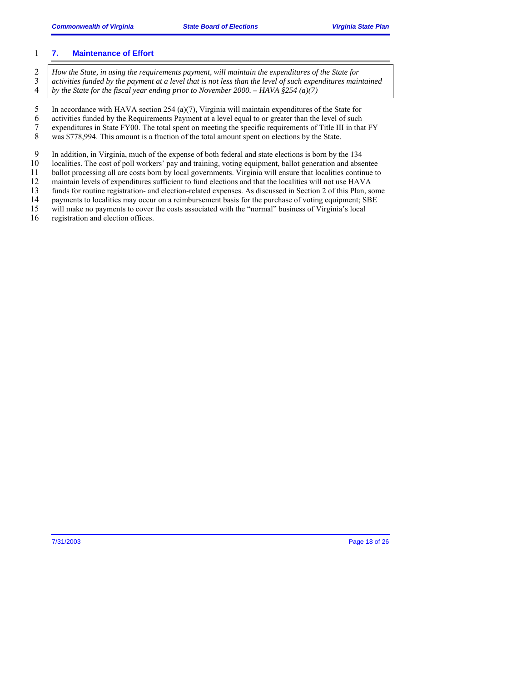#### 1 **7. Maintenance of Effort**

<sup>2</sup> *How the State, in using the requirements payment, will maintain the expenditures of the State for*  $\frac{3}{4}$  *activities funded by the payment at a level that is not less than the level of such expenditures main* 3 *activities funded by the payment at a level that is not less than the level of such expenditures maintained*  4 *by the State for the fiscal year ending prior to November 2000. – HAVA §254 (a)(7)* 

5 In accordance with HAVA section 254 (a)(7), Virginia will maintain expenditures of the State for

6 activities funded by the Requirements Payment at a level equal to or greater than the level of such expenditures in State FY00. The total spent on meeting the specific requirements of Title III in tha

7 expenditures in State FY00. The total spent on meeting the specific requirements of Title III in that FY<br>8 was \$778,994. This amount is a fraction of the total amount spent on elections by the State. was \$778,994. This amount is a fraction of the total amount spent on elections by the State.

9 In addition, in Virginia, much of the expense of both federal and state elections is born by the 134<br>10 Iocalities. The cost of poll workers' pay and training, voting equipment, ballot generation and abse

10 localities. The cost of poll workers' pay and training, voting equipment, ballot generation and absentee

11 ballot processing all are costs born by local governments. Virginia will ensure that localities continue to 12 maintain levels of expenditures sufficient to fund elections and that the localities will not use HAVA

13 funds for routine registration- and election-related expenses. As discussed in Section 2 of this Plan, some

14 payments to localities may occur on a reimbursement basis for the purchase of voting equipment; SBE

15 will make no payments to cover the costs associated with the "normal" business of Virginia's local

16 registration and election offices.

7/31/2003 Page 18 of 26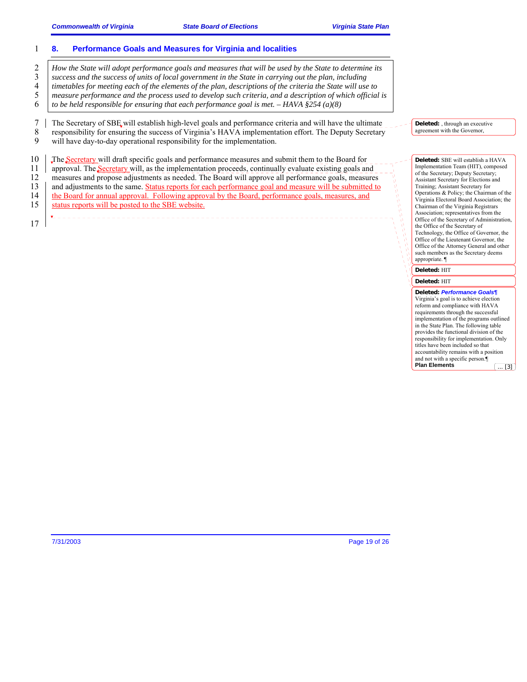#### 1 **8. Performance Goals and Measures for Virginia and localities**

<sup>2</sup> *How the State will adopt performance goals and measures that will be used by the State to determine its success and the success of units of local government in the State in carrying out the plan, including success and the success of units of local government in the State in carrying out the plan, including timetables for meeting each of the elements of the plan, descriptions of the criteria the State will use to measure performance and the process used to develop such criteria, and a description of which official is to be held responsible for ensuring that each performance goal is met. – HAVA §254 (a)(8)*

7 The Secretary of SBE will establish high-level goals and performance criteria and will have the ultimate<br>8 responsibility for ensuring the success of Virginia's HAVA implementation effort. The Deputy Secretary 8 responsibility for ensuring the success of Virginia's HAVA implementation effort. The Deputy Secretary<br>9 will have day-to-day operational responsibility for the implementation.

will have day-to-day operational responsibility for the implementation.

10 The Secretary will draft specific goals and performance measures and submit them to the Board for 11 approval. The Secretary will, as the implementation proceeds, continually evaluate existing goals and 12 measures and propose adjustments as needed. The Board will approve all performance goals, measures 13 and adjustments to the same. Status reports for each performance goal and measure will be submitted to 14 the Board for annual approval. Following approval by the Board, performance goals, measures, and 15 status reports will be posted to the SBE website. 17

**Deleted:** , through an executive agreement with the Governor,

**Deleted:** SBE will establish a HAVA Implementation Team (HIT), composed of the Secretary; Deputy Secretary; Assistant Secretary for Elections and Training; Assistant Secretary for Operations & Policy; the Chairman of the Virginia Electoral Board Association; the Chairman of the Virginia Registrars Association; representatives from the Office of the Secretary of Administration, the Office of the Secretary of Technology, the Office of Governor, the Office of the Lieutenant Governor, the Office of the Attorney General and other such members as the Secretary deems appropriate. ¶

**Deleted:** HIT

#### **Deleted:** HIT

**Deleted:** *Performance Goals¶* Virginia's goal is to achieve election reform and compliance with HAVA requirements through the successful implementation of the programs outlined in the State Plan. The following table provides the functional division of the responsibility for implementation. Only titles have been included so that accountability remains with a position and not with a specific person.¶ **Plan Elements** ... [3]

7/31/2003 Page 19 of 26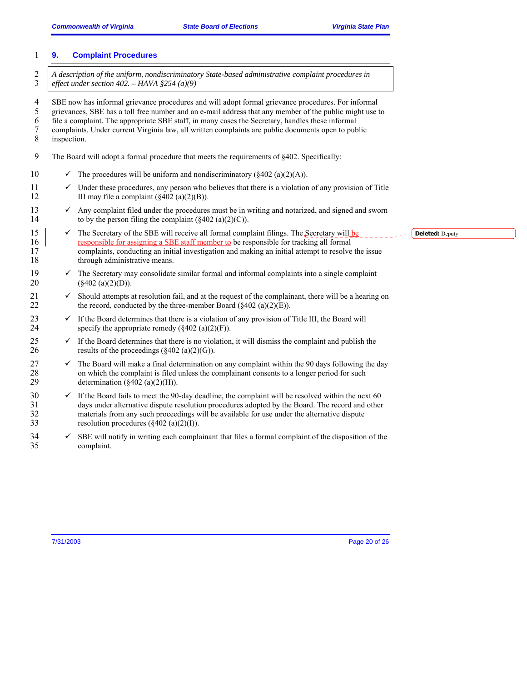## 1 **9. Complaint Procedures**  2 *A description of the uniform, nondiscriminatory State-based administrative complaint procedures in* <br>3 effect under section 402. – HAVA §254 (a)(9) 3 *effect under section 402. – HAVA §254 (a)(9)* 4 SBE now has informal grievance procedures and will adopt formal grievance procedures. For informal 5 grievances, SBE has a toll free number and an e-mail address that any member of the public might use to 6 file a complaint. The appropriate SBE staff, in many cases the Secretary, handles these informal 7 complaints. Under current Virginia law, all written complaints are public documents open to public inspection. 9 The Board will adopt a formal procedure that meets the requirements of §402. Specifically: 10  $\checkmark$  The procedures will be uniform and nondiscriminatory (§402 (a)(2)(A)). 11  $\checkmark$  Under these procedures, any person who believes that there is a violation of any provision of Title 12 III may file a complaint  $(\S 402 \text{ (a)}(2)(B))$ . 13  $\checkmark$  Any complaint filed under the procedures must be in writing and notarized, and signed and sworn to by the person filing the complaint (8402 (a)(2)(C)). to by the person filing the complaint  $(\S 402 \text{ (a)}(2)(C))$ . 15  $\checkmark$  The Secretary of the SBE will receive all formal complaint filings. The Secretary will be responsible for assigning a SBE staff member to be responsible for tracking all formal 16 responsible for assigning a SBE staff member to be responsible for tracking all formal<br>17 complaints, conducting an initial investigation and making an initial attempt to resolve 17 complaints, conducting an initial investigation and making an initial attempt to resolve the issue through administrative means. through administrative means. 19  $\checkmark$  The Secretary may consolidate similar formal and informal complaints into a single complaint 20 (§402 (a)(2)(D)).  $21 \times$  Should attempts at resolution fail, and at the request of the complainant, there will be a hearing on 22 the record, conducted by the three-member Board  $(\S 402 \text{ (a)}(2)(E))$ . 23  $\checkmark$  If the Board determines that there is a violation of any provision of Title III, the Board will specify the appropriate remedy ( $\{402 \text{ (a)}(2)(F)\}$ ). specify the appropriate remedy  $(\S 402 \text{ (a)}(2)(F))$ . 25  $\checkmark$  If the Board determines that there is no violation, it will dismiss the complaint and publish the results of the proceedings ( $\{402 \text{ (a)}(2)(G)\}$ ). results of the proceedings  $(\S 402 \text{ (a)}(2)(G))$ .  $27 \times$  The Board will make a final determination on any complaint within the 90 days following the day 28 on which the complaint is filed unless the complainant consents to a longer period for such 29 determination  $(\S 402 \text{ (a)}(2)(H)).$  $30 \times$  If the Board fails to meet the 90-day deadline, the complaint will be resolved within the next 60 31 days under alternative dispute resolution procedures adopted by the Board. The record and other 32 materials from any such proceedings will be available for use under the alternative dispute 33 resolution procedures  $(\text{\$402 (a)(2)(I)}).$ 34 SBE will notify in writing each complainant that files a formal complaint of the disposition of the complaint. complaint. **Deleted:** Deputy

7/31/2003 Page 20 of 26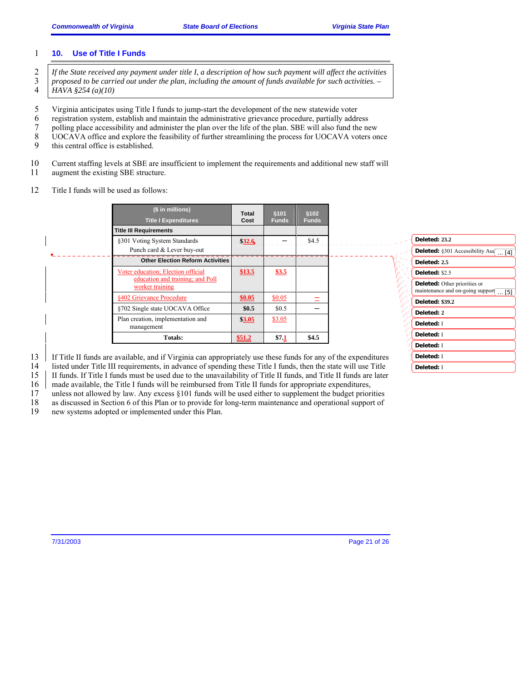#### 1 **10. Use of Title I Funds**

- <sup>2</sup> *If the State received any payment under title I, a description of how such payment will affect the activities*  $\frac{3}{2}$  *proposed to be carried out under the plan, including the amount of funds available for such act* 3 *proposed to be carried out under the plan, including the amount of funds available for such activities. –*  4 *HAVA §254 (a)(10)*
- 5 Virginia anticipates using Title I funds to jump-start the development of the new statewide voter
- 
- 6 registration system, establish and maintain the administrative grievance procedure, partially address
- 7 polling place accessibility and administer the plan over the life of the plan. SBE will also fund the new<br>8 UOCAVA office and explore the feasibility of further streamlining the process for UOCAVA voters or UOCAVA office and explore the feasibility of further streamlining the process for UOCAVA voters once
- 9 this central office is established.
- 10 Current staffing levels at SBE are insufficient to implement the requirements and additional new staff will
- 11 augment the existing SBE structure.
- 12 Title I funds will be used as follows:

| (\$ in millions)                                                                                               | <b>Total</b> | §101         | \$102        |                                                                                             |
|----------------------------------------------------------------------------------------------------------------|--------------|--------------|--------------|---------------------------------------------------------------------------------------------|
| <b>Title I Expenditures</b>                                                                                    | Cost         | <b>Funds</b> | <b>Funds</b> |                                                                                             |
| <b>Title III Requirements</b>                                                                                  |              |              |              |                                                                                             |
| §301 Voting System Standards                                                                                   | \$32.6       |              | \$4.5        | Deleted: 23.2                                                                               |
| Punch card & Lever buy-out                                                                                     |              |              |              | <b>Deleted:</b> §301 Accessibility Au $\left(\begin{array}{c} \dots [4] \end{array}\right)$ |
| <b>Other Election Reform Activities</b>                                                                        |              |              |              | Deleted: 2.5                                                                                |
| Voter education; Election official                                                                             | \$13.5       | \$3.5        |              | Deleted: \$2.5                                                                              |
| education and training; and Poll<br>worker training                                                            |              |              |              | <b>Deleted:</b> Other priorities or<br>maintenance and on-going suppor $\boxed{ [5]}$       |
| §402 Grievance Procedure                                                                                       | \$0.05       | \$0.05       |              | <b>Deleted: \$39.2</b>                                                                      |
| §702 Single state UOCAVA Office                                                                                | \$0.5        | \$0.5        |              | Deleted: 2                                                                                  |
| Plan creation, implementation and<br>management                                                                | \$3.05       | \$3.05       |              | Deleted: I                                                                                  |
| Totals:                                                                                                        | \$51.2       | \$7.1        | \$4.5        | Deleted: I                                                                                  |
|                                                                                                                |              |              |              | Deleted: I                                                                                  |
| If Title II funds are available, and if Virginia can appropriately use these funds for any of the expenditures |              |              |              | Deleted: I                                                                                  |

13 If Title II funds are available, and if Virginia can appropriately use these funds for any of the expenditures

- 14 listed under Title III requirements, in advance of spending these Title I funds, then the state will use Title 15 II funds. If Title I funds must be used due to the unavailability of Title II funds, and Title II funds are later
- 16 made available, the Title I funds will be reimbursed from Title II funds for appropriate expenditures,
- 17 unless not allowed by law. Any excess §101 funds will be used either to supplement the budget priorities
- 18 as discussed in Section 6 of this Plan or to provide for long-term maintenance and operational support of new systems adopted or implemented under this Plan.
- new systems adopted or implemented under this Plan.

7/31/2003 Page 21 of 26

**Deleted:** I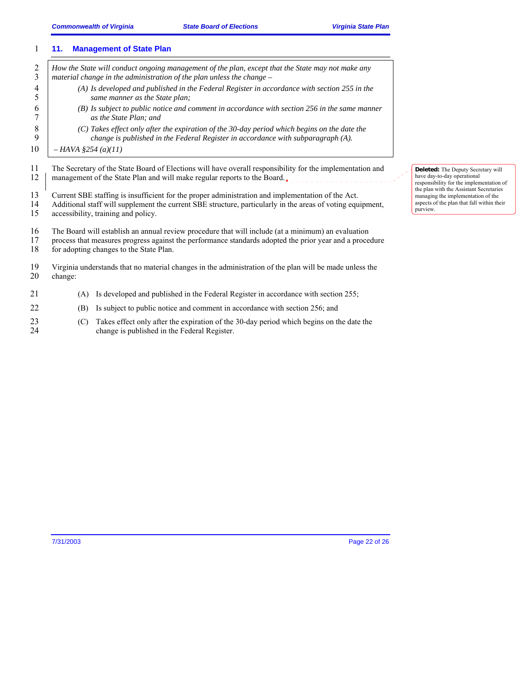|                     | <b>Management of State Plan</b><br>11.                                                                                                                                                                                                                   |                                                                                                                                         |
|---------------------|----------------------------------------------------------------------------------------------------------------------------------------------------------------------------------------------------------------------------------------------------------|-----------------------------------------------------------------------------------------------------------------------------------------|
| $\overline{c}$<br>3 | How the State will conduct ongoing management of the plan, except that the State may not make any<br>material change in the administration of the plan unless the change $-$                                                                             |                                                                                                                                         |
| 4<br>5              | $(A)$ Is developed and published in the Federal Register in accordance with section 255 in the<br>same manner as the State plan;                                                                                                                         |                                                                                                                                         |
| 6                   | $(B)$ Is subject to public notice and comment in accordance with section 256 in the same manner<br>as the State Plan: and                                                                                                                                |                                                                                                                                         |
| 8<br>9              | (C) Takes effect only after the expiration of the 30-day period which begins on the date the<br>change is published in the Federal Register in accordance with subparagraph (A).                                                                         |                                                                                                                                         |
| 10                  | $-HAVA$ §254 (a)(11)                                                                                                                                                                                                                                     |                                                                                                                                         |
| 11<br>12            | The Secretary of the State Board of Elections will have overall responsibility for the implementation and<br>management of the State Plan and will make regular reports to the Board.                                                                    | Deleted: The Deputy Secretary will<br>have day-to-day operational<br>responsibility for the implementation of                           |
| 13<br>14<br>15      | Current SBE staffing is insufficient for the proper administration and implementation of the Act.<br>Additional staff will supplement the current SBE structure, particularly in the areas of voting equipment,<br>accessibility, training and policy.   | the plan with the Assistant Secretaries<br>managing the implementation of the<br>aspects of the plan that fall within their<br>purview. |
| 16<br>17<br>18      | The Board will establish an annual review procedure that will include (at a minimum) an evaluation<br>process that measures progress against the performance standards adopted the prior year and a procedure<br>for adopting changes to the State Plan. |                                                                                                                                         |
| 19<br>20            | Virginia understands that no material changes in the administration of the plan will be made unless the<br>change:                                                                                                                                       |                                                                                                                                         |
| 21                  | Is developed and published in the Federal Register in accordance with section 255;<br>(A)                                                                                                                                                                |                                                                                                                                         |

- 22 (B) Is subject to public notice and comment in accordance with section 256; and
- 23 (C) Takes effect only after the expiration of the 30-day period which begins on the date the change is published in the Federal Register. change is published in the Federal Register.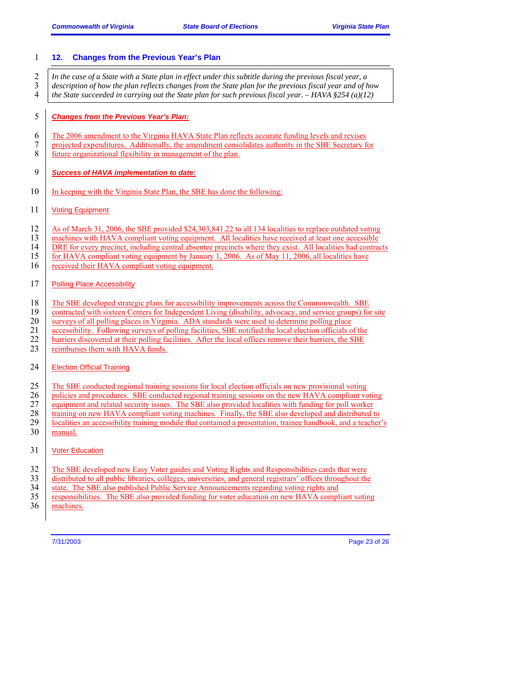| $\mathbf{1}$                          | <b>Changes from the Previous Year's Plan</b><br>12.                                                                                                                                                                                                                                                                                                                                                                                                                                                                                                                     |
|---------------------------------------|-------------------------------------------------------------------------------------------------------------------------------------------------------------------------------------------------------------------------------------------------------------------------------------------------------------------------------------------------------------------------------------------------------------------------------------------------------------------------------------------------------------------------------------------------------------------------|
| $\overline{2}$<br>3<br>$\overline{4}$ | In the case of a State with a State plan in effect under this subtitle during the previous fiscal year, a<br>description of how the plan reflects changes from the State plan for the previous fiscal year and of how<br>the State succeeded in carrying out the State plan for such previous fiscal year. $-HAVA$ §254 (a)(12)                                                                                                                                                                                                                                         |
| 5                                     | <b>Changes from the Previous Year's Plan:</b>                                                                                                                                                                                                                                                                                                                                                                                                                                                                                                                           |
| 6<br>7<br>8                           | The 2006 amendment to the Virginia HAVA State Plan reflects accurate funding levels and revises<br>projected expenditures. Additionally, the amendment consolidates authority in the SBE Secretary for<br>future organizational flexibility in management of the plan.                                                                                                                                                                                                                                                                                                  |
| 9                                     | <b>Success of HAVA implementation to date:</b>                                                                                                                                                                                                                                                                                                                                                                                                                                                                                                                          |
| 10                                    | In keeping with the Virginia State Plan, the SBE has done the following:                                                                                                                                                                                                                                                                                                                                                                                                                                                                                                |
| 11                                    | <b>Voting Equipment</b>                                                                                                                                                                                                                                                                                                                                                                                                                                                                                                                                                 |
| 12<br>13<br>14<br>15<br>16            | As of March 31, 2006, the SBE provided \$24,303,841.22 to all 134 localities to replace outdated voting<br>machines with HAVA compliant voting equipment. All localities have received at least one accessible<br>DRE for every precinct, including central absentee precincts where they exist. All localities had contracts<br>for HAVA compliant voting equipment by January 1, 2006. As of May 11, 2006, all localities have<br>received their HAVA compliant voting equipment.                                                                                     |
| 17                                    | <b>Polling Place Accessibility</b>                                                                                                                                                                                                                                                                                                                                                                                                                                                                                                                                      |
| 18<br>19<br>20<br>21<br>22<br>23      | The SBE developed strategic plans for accessibility improvements across the Commonwealth. SBE<br>contracted with sixteen Centers for Independent Living (disability, advocacy, and service groups) for site<br>surveys of all polling places in Virginia. ADA standards were used to determine polling place<br>accessibility. Following surveys of polling facilities, SBE notified the local election officials of the<br>barriers discovered at their polling facilities. After the local offices remove their barriers, the SBE<br>reimburses them with HAVA funds. |
| 24                                    | <b>Election Official Training</b>                                                                                                                                                                                                                                                                                                                                                                                                                                                                                                                                       |
| 25<br>26<br>27<br>28<br>29<br>30      | The SBE conducted regional training sessions for local election officials on new provisional voting<br>policies and procedures. SBE conducted regional training sessions on the new HAVA compliant voting<br>equipment and related security issues. The SBE also provided localities with funding for poll worker<br>training on new HAVA compliant voting machines. Finally, the SBE also developed and distributed to<br>localities an accessibility training module that contained a presentation, trainee handbook, and a teacher's<br>manual.                      |
| 31                                    | <b>Voter Education</b>                                                                                                                                                                                                                                                                                                                                                                                                                                                                                                                                                  |
| 32<br>33<br>34<br>35<br>36            | The SBE developed new Easy Voter guides and Voting Rights and Responsibilities cards that were<br>distributed to all public libraries, colleges, universities, and general registrars' offices throughout the<br>state. The SBE also published Public Service Announcements regarding voting rights and<br>responsibilities. The SBE also provided funding for voter education on new HAVA compliant voting<br>machines.                                                                                                                                                |

7/31/2003 Page 23 of 26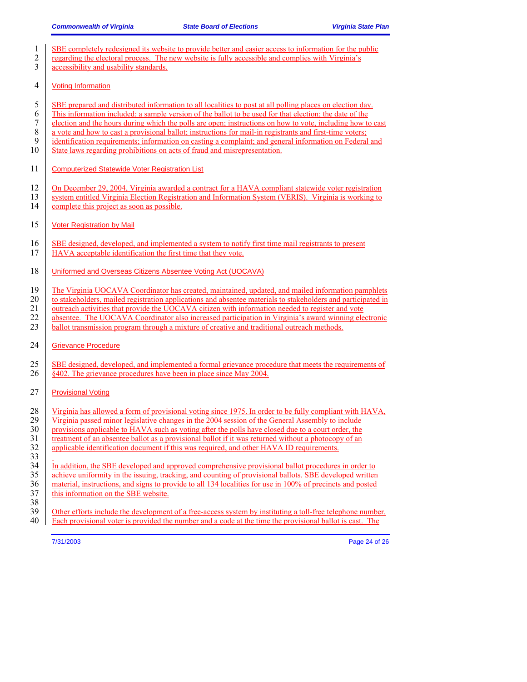| 1<br>$\mathfrak{2}$<br>3            | SBE completely redesigned its website to provide better and easier access to information for the public<br>regarding the electoral process. The new website is fully accessible and complies with Virginia's<br>accessibility and usability standards.                                                                                                                                                                                                                                                                                                                                                                                 |
|-------------------------------------|----------------------------------------------------------------------------------------------------------------------------------------------------------------------------------------------------------------------------------------------------------------------------------------------------------------------------------------------------------------------------------------------------------------------------------------------------------------------------------------------------------------------------------------------------------------------------------------------------------------------------------------|
| 4                                   | <b>Voting Information</b>                                                                                                                                                                                                                                                                                                                                                                                                                                                                                                                                                                                                              |
| 5<br>6<br>7<br>$\,$ $\,$<br>9<br>10 | SBE prepared and distributed information to all localities to post at all polling places on election day.<br>This information included: a sample version of the ballot to be used for that election; the date of the<br>election and the hours during which the polls are open; instructions on how to vote, including how to cast<br>a vote and how to cast a provisional ballot; instructions for mail-in registrants and first-time voters;<br>identification requirements; information on casting a complaint; and general information on Federal and<br>State laws regarding prohibitions on acts of fraud and misrepresentation. |
| 11                                  | <b>Computerized Statewide Voter Registration List</b>                                                                                                                                                                                                                                                                                                                                                                                                                                                                                                                                                                                  |
| 12<br>13<br>14                      | On December 29, 2004, Virginia awarded a contract for a HAVA compliant statewide voter registration<br>system entitled Virginia Election Registration and Information System (VERIS). Virginia is working to<br>complete this project as soon as possible.                                                                                                                                                                                                                                                                                                                                                                             |
| 15                                  | <b>Voter Registration by Mail</b>                                                                                                                                                                                                                                                                                                                                                                                                                                                                                                                                                                                                      |
| 16<br>17                            | SBE designed, developed, and implemented a system to notify first time mail registrants to present<br>HAVA acceptable identification the first time that they vote.                                                                                                                                                                                                                                                                                                                                                                                                                                                                    |
| 18                                  | Uniformed and Overseas Citizens Absentee Voting Act (UOCAVA)                                                                                                                                                                                                                                                                                                                                                                                                                                                                                                                                                                           |
| 19<br>20<br>21<br>22<br>23          | The Virginia UOCAVA Coordinator has created, maintained, updated, and mailed information pamphlets<br>to stakeholders, mailed registration applications and absentee materials to stakeholders and participated in<br>outreach activities that provide the UOCAVA citizen with information needed to register and vote<br>absentee. The UOCAVA Coordinator also increased participation in Virginia's award winning electronic<br>ballot transmission program through a mixture of creative and traditional outreach methods.                                                                                                          |
| 24                                  | <b>Grievance Procedure</b>                                                                                                                                                                                                                                                                                                                                                                                                                                                                                                                                                                                                             |
| 25<br>26                            | SBE designed, developed, and implemented a formal grievance procedure that meets the requirements of<br>§402. The grievance procedures have been in place since May 2004.                                                                                                                                                                                                                                                                                                                                                                                                                                                              |
| 27                                  | <b>Provisional Voting</b>                                                                                                                                                                                                                                                                                                                                                                                                                                                                                                                                                                                                              |
| 28<br>29<br>30<br>31<br>32<br>33    | Virginia has allowed a form of provisional voting since 1975. In order to be fully compliant with HAVA,<br>Virginia passed minor legislative changes in the 2004 session of the General Assembly to include<br>provisions applicable to HAVA such as voting after the polls have closed due to a court order, the<br>treatment of an absentee ballot as a provisional ballot if it was returned without a photocopy of an<br>applicable identification document if this was required, and other HAVA ID requirements.                                                                                                                  |
| 34<br>35<br>36<br>37<br>38          | In addition, the SBE developed and approved comprehensive provisional ballot procedures in order to<br>achieve uniformity in the issuing, tracking, and counting of provisional ballots. SBE developed written<br>material, instructions, and signs to provide to all 134 localities for use in 100% of precincts and posted<br>this information on the SBE website.                                                                                                                                                                                                                                                                   |
| 20                                  |                                                                                                                                                                                                                                                                                                                                                                                                                                                                                                                                                                                                                                        |

39 Other efforts include the development of a free-access system by instituting a toll-free telephone number. 40 Each provisional voter is provided the number and a code at the time the provisional ballot is cast. The

7/31/2003 Page 24 of 26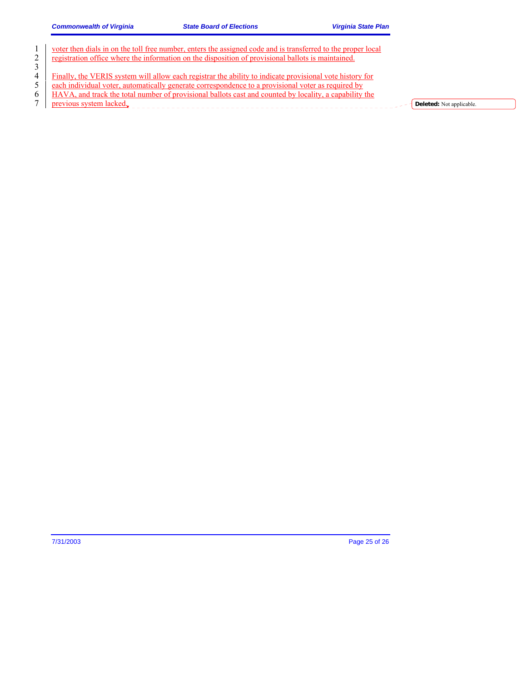$\bigcap$ 

|                | voter then dials in on the toll free number, enters the assigned code and is transferred to the proper local |
|----------------|--------------------------------------------------------------------------------------------------------------|
| 2              | registration office where the information on the disposition of provisional ballots is maintained.           |
|                |                                                                                                              |
| 4              | Finally, the VERIS system will allow each registrar the ability to indicate provisional vote history for     |
| 5 <sup>1</sup> | each individual voter, automatically generate correspondence to a provisional voter as required by           |
| 6              | HAVA, and track the total number of provisional ballots cast and counted by locality, a capability the       |
|                | previous system lacked.<br><b>Deleted:</b> Not applicable.                                                   |
|                |                                                                                                              |

7/31/2003 Page 25 of 26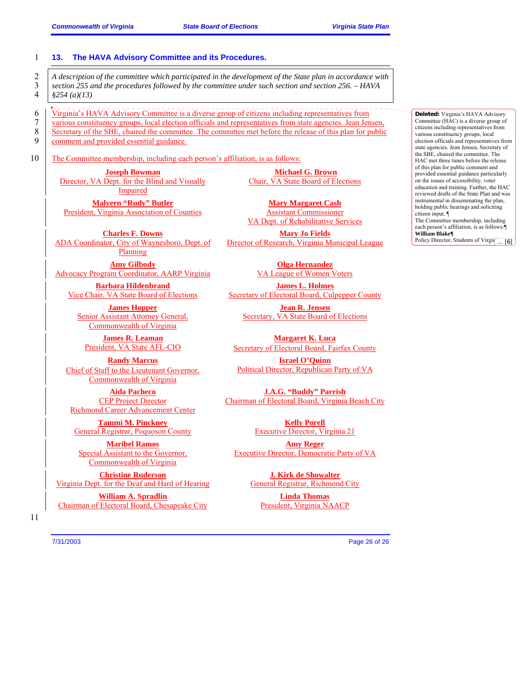|                                 | The HAVA Advisory Committee and its Procedures.<br>13.                                                                                                             |                                                                                                                                                                                                                          |                                                                                                                                                                                                                                                                                                    |
|---------------------------------|--------------------------------------------------------------------------------------------------------------------------------------------------------------------|--------------------------------------------------------------------------------------------------------------------------------------------------------------------------------------------------------------------------|----------------------------------------------------------------------------------------------------------------------------------------------------------------------------------------------------------------------------------------------------------------------------------------------------|
| $\overline{c}$<br>3<br>4        | section 255 and the procedures followed by the committee under such section and section 256. - HAVA<br>\$254(a)(13)                                                | A description of the committee which participated in the development of the State plan in accordance with                                                                                                                |                                                                                                                                                                                                                                                                                                    |
| 6<br>$\boldsymbol{7}$<br>8<br>9 | Virginia's HAVA Advisory Committee is a diverse group of citizens including representatives from<br>comment and provided essential guidance.                       | various constituency groups, local election officials and representatives from state agencies. Jean Jensen,<br>Secretary of the SBE, chaired the committee. The committee met before the release of this plan for public | Deleted: Virginia's HAVA Advisory<br>Committee (HAC) is a diverse group of<br>citizens including representatives from<br>various constituency groups, local<br>election officials and representatives from<br>state agencies. Jean Jensen, Secretary of                                            |
| 10                              | The Committee membership, including each person's affiliation, is as follows:<br><b>Joseph Bowman</b><br>Director, VA Dept. for the Blind and Visually<br>Impaired | <b>Michael G. Brown</b><br>Chair, VA State Board of Elections                                                                                                                                                            | the SBE, chaired the committee. The<br>HAC met three times before the release<br>of this plan for public comment and<br>provided essential guidance particularly<br>on the issues of accessibility, voter<br>education and training. Further, the HAC<br>reviewed drafts of the State Plan and was |
|                                 | <b>Malvern "Rudy" Butler</b><br><b>President, Virginia Association of Counties</b>                                                                                 | <b>Mary Margaret Cash</b><br><b>Assistant Commissioner</b><br>VA Dept. of Rehabilitative Services                                                                                                                        | instrumental in disseminating the plan,<br>holding public hearings and soliciting<br>citizen input.<br>The Committee membership, including<br>each person's affiliation, is as follows:                                                                                                            |
|                                 | <b>Charles F. Downs</b><br>ADA Coordinator, City of Waynesboro, Dept. of<br>Planning                                                                               | <b>Mary Jo Fields</b><br>Director of Research, Virginia Municipal League                                                                                                                                                 | William Blake¶<br>Policy Director, Students of Virgin  [6]                                                                                                                                                                                                                                         |
|                                 | <b>Amy Gilbody</b><br><b>Advocacy Program Coordinator, AARP Virginia</b>                                                                                           | <b>Olga Hernandez</b><br>VA League of Women Voters                                                                                                                                                                       |                                                                                                                                                                                                                                                                                                    |
|                                 | <b>Barbara Hildenbrand</b><br>Vice Chair, VA State Board of Elections                                                                                              | <b>James L. Holmes</b><br>Secretary of Electoral Board, Culpepper County                                                                                                                                                 |                                                                                                                                                                                                                                                                                                    |
|                                 | <b>James Hopper</b><br>Senior Assistant Attorney General,<br>Commonwealth of Virginia                                                                              | <b>Jean R. Jensen</b><br>Secretary, VA State Board of Elections                                                                                                                                                          |                                                                                                                                                                                                                                                                                                    |
|                                 | <b>James R. Leaman</b><br>President, VA State AFL-CIO                                                                                                              | <b>Margaret K. Luca</b><br>Secretary of Electoral Board, Fairfax County                                                                                                                                                  |                                                                                                                                                                                                                                                                                                    |
|                                 | <b>Randy Marcus</b><br>Chief of Staff to the Lieutenant Governor,<br><b>Commonwealth of Virginia</b>                                                               | <b>Israel O'Quinn</b><br>Political Director, Republican Party of VA                                                                                                                                                      |                                                                                                                                                                                                                                                                                                    |
|                                 | <b>Aida Pacheco</b><br><b>CEP Project Director</b><br><b>Richmond Career Advancement Center</b>                                                                    | <b>J.A.G. "Buddy" Parrish</b><br>Chairman of Electoral Board, Virginia Beach City                                                                                                                                        |                                                                                                                                                                                                                                                                                                    |
|                                 | <b>Tammi M. Pinckney</b><br>General Registrar, Poquoson County                                                                                                     | <b>Kelly Porell</b><br><b>Executive Director, Virginia 21</b>                                                                                                                                                            |                                                                                                                                                                                                                                                                                                    |

**Amy Reger** Executive Director, Democratic Party of VA

> **J. Kirk de Showalter** General Registrar, Richmond City

**Linda Thomas** President, Virginia NAACP

**Maribel Ramos** Special Assistant to the Governor, Commonwealth of Virginia

**Christine Ruderson** Virginia Dept. for the Deaf and Hard of Hearing

**William A. Spradlin** Chairman of Electoral Board, Chesapeake City

7/31/2003 Page 26 of 26

11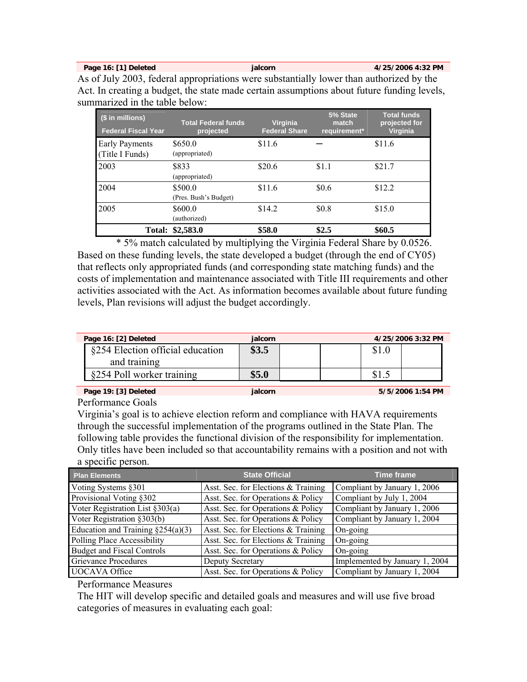**Page 16: [1] Deleted in the integral page 16: [1] Deleted in the integral page 16: [1] Deleted in the integral page 17: 12: PM** 

As of July 2003, federal appropriations were substantially lower than authorized by the Act. In creating a budget, the state made certain assumptions about future funding levels, summarized in the table below:

| (\$ in millions)<br><b>Federal Fiscal Year</b> | <b>Total Federal funds</b><br>projected | <b>Virginia</b><br><b>Federal Share</b> | 5% State<br>match<br>requirement* | <b>Total funds</b><br>projected for<br><b>Virginia</b> |
|------------------------------------------------|-----------------------------------------|-----------------------------------------|-----------------------------------|--------------------------------------------------------|
| <b>Early Payments</b><br>(Title I Funds)       | \$650.0<br>(appropriated)               | \$11.6                                  |                                   | \$11.6                                                 |
| 2003                                           | \$833<br>(appropriated)                 | \$20.6                                  | \$1.1                             | \$21.7                                                 |
| 2004                                           | \$500.0<br>(Pres. Bush's Budget)        | \$11.6                                  | \$0.6                             | \$12.2                                                 |
| 2005                                           | \$600.0<br>(authorized)                 | \$14.2                                  | \$0.8                             | \$15.0                                                 |
|                                                | Total: \$2,583.0                        | \$58.0                                  | \$2.5                             | \$60.5                                                 |

\* 5% match calculated by multiplying the Virginia Federal Share by 0.0526. Based on these funding levels, the state developed a budget (through the end of CY05) that reflects only appropriated funds (and corresponding state matching funds) and the costs of implementation and maintenance associated with Title III requirements and other activities associated with the Act. As information becomes available about future funding levels, Plan revisions will adjust the budget accordingly.

| Page 16: [2] Deleted             | ialcorn |  | 4/25/2006 3:32 PM |
|----------------------------------|---------|--|-------------------|
| §254 Election official education | \$3.5   |  |                   |
| and training                     |         |  |                   |
| §254 Poll worker training        | \$5.0   |  |                   |

**Page 19: [3] Deleted jalcorn 5/5/2006 1:54 PM** 

Performance Goals

Virginia's goal is to achieve election reform and compliance with HAVA requirements through the successful implementation of the programs outlined in the State Plan. The following table provides the functional division of the responsibility for implementation. Only titles have been included so that accountability remains with a position and not with a specific person.

| <b>Plan Elements</b>                  | <b>State Official</b>               | <b>Time frame</b>              |
|---------------------------------------|-------------------------------------|--------------------------------|
| Voting Systems §301                   | Asst. Sec. for Elections & Training | Compliant by January 1, 2006   |
| Provisional Voting §302               | Asst. Sec. for Operations & Policy  | Compliant by July 1, 2004      |
| Voter Registration List §303(a)       | Asst. Sec. for Operations & Policy  | Compliant by January 1, 2006   |
| Voter Registration §303(b)            | Asst. Sec. for Operations & Policy  | Compliant by January 1, 2004   |
| Education and Training $\S 254(a)(3)$ | Asst. Sec. for Elections & Training | On-going                       |
| Polling Place Accessibility           | Asst. Sec. for Elections & Training | On-going                       |
| <b>Budget and Fiscal Controls</b>     | Asst. Sec. for Operations & Policy  | On-going                       |
| <b>Grievance Procedures</b>           | Deputy Secretary                    | Implemented by January 1, 2004 |
| <b>UOCAVA Office</b>                  | Asst. Sec. for Operations & Policy  | Compliant by January 1, 2004   |

Performance Measures

The HIT will develop specific and detailed goals and measures and will use five broad categories of measures in evaluating each goal: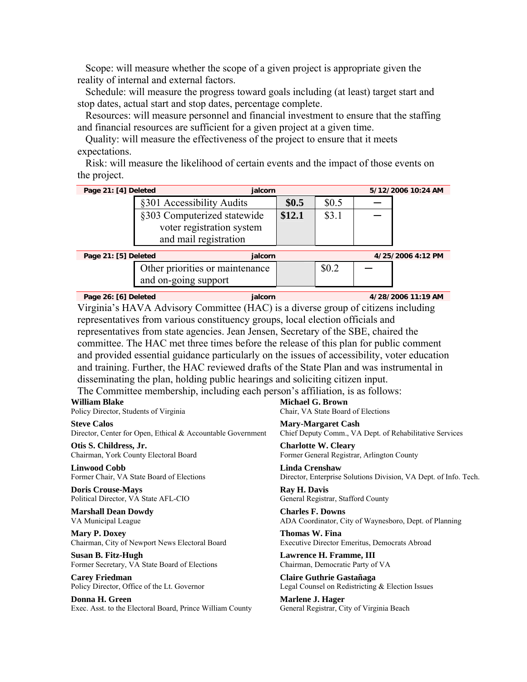Scope: will measure whether the scope of a given project is appropriate given the reality of internal and external factors.

Schedule: will measure the progress toward goals including (at least) target start and stop dates, actual start and stop dates, percentage complete.

Resources: will measure personnel and financial investment to ensure that the staffing and financial resources are sufficient for a given project at a given time.

Quality: will measure the effectiveness of the project to ensure that it meets expectations.

Risk: will measure the likelihood of certain events and the impact of those events on the project.

| Page 21: [4] Deleted                                                              | jalcorn                                                                                      |                                                                                           |                                    |                                           | 5/12/2006 10:24 AM                                     |
|-----------------------------------------------------------------------------------|----------------------------------------------------------------------------------------------|-------------------------------------------------------------------------------------------|------------------------------------|-------------------------------------------|--------------------------------------------------------|
|                                                                                   | §301 Accessibility Audits                                                                    | \$0.5                                                                                     | \$0.5                              |                                           |                                                        |
|                                                                                   | §303 Computerized statewide                                                                  | \$12.1                                                                                    | \$3.1                              |                                           |                                                        |
|                                                                                   | voter registration system                                                                    |                                                                                           |                                    |                                           |                                                        |
|                                                                                   | and mail registration                                                                        |                                                                                           |                                    |                                           |                                                        |
| Page 21: [5] Deleted                                                              | jalcorn                                                                                      |                                                                                           |                                    |                                           | 4/25/2006 4:12 PM                                      |
|                                                                                   | Other priorities or maintenance                                                              |                                                                                           | \$0.2                              |                                           |                                                        |
|                                                                                   | and on-going support                                                                         |                                                                                           |                                    |                                           |                                                        |
| Page 26: [6] Deleted                                                              | jalcorn                                                                                      |                                                                                           |                                    |                                           | 4/28/2006 11:19 AM                                     |
|                                                                                   | Virginia's HAVA Advisory Committee (HAC) is a diverse group of citizens including            |                                                                                           |                                    |                                           |                                                        |
|                                                                                   | representatives from various constituency groups, local election officials and               |                                                                                           |                                    |                                           |                                                        |
|                                                                                   | representatives from state agencies. Jean Jensen, Secretary of the SBE, chaired the          |                                                                                           |                                    |                                           |                                                        |
|                                                                                   | committee. The HAC met three times before the release of this plan for public comment        |                                                                                           |                                    |                                           |                                                        |
|                                                                                   | and provided essential guidance particularly on the issues of accessibility, voter education |                                                                                           |                                    |                                           |                                                        |
|                                                                                   | and training. Further, the HAC reviewed drafts of the State Plan and was instrumental in     |                                                                                           |                                    |                                           |                                                        |
|                                                                                   | disseminating the plan, holding public hearings and soliciting citizen input.                |                                                                                           |                                    |                                           |                                                        |
|                                                                                   | The Committee membership, including each person's affiliation, is as follows:                |                                                                                           |                                    |                                           |                                                        |
| William Blake<br>Policy Director, Students of Virginia                            |                                                                                              | Michael G. Brown                                                                          | Chair, VA State Board of Elections |                                           |                                                        |
| <b>Steve Calos</b><br>Director, Center for Open, Ethical & Accountable Government |                                                                                              | <b>Mary-Margaret Cash</b><br>Chief Deputy Comm., VA Dept. of Rehabilitative Services      |                                    |                                           |                                                        |
| Otis S. Childress, Jr.<br>Chairman, York County Electoral Board                   |                                                                                              | <b>Charlotte W. Cleary</b><br>Former General Registrar, Arlington County                  |                                    |                                           |                                                        |
| <b>Linwood Cobb</b><br>Former Chair, VA State Board of Elections                  |                                                                                              | <b>Linda Crenshaw</b><br>Director, Enterprise Solutions Division, VA Dept. of Info. Tech. |                                    |                                           |                                                        |
| <b>Doris Crouse-Mays</b><br>Political Director, VA State AFL-CIO                  |                                                                                              | Ray H. Davis                                                                              | General Registrar, Stafford County |                                           |                                                        |
| <b>Marshall Dean Dowdy</b><br>VA Municipal League                                 |                                                                                              | <b>Charles F. Downs</b>                                                                   |                                    |                                           | ADA Coordinator, City of Waynesboro, Dept. of Planning |
| <b>Mary P. Doxey</b><br>Chairman, City of Newport News Electoral Board            |                                                                                              | Thomas W. Fina                                                                            |                                    |                                           | Executive Director Emeritus, Democrats Abroad          |
| <b>Susan B. Fitz-Hugh</b><br>Former Secretary, VA State Board of Elections        |                                                                                              |                                                                                           | Lawrence H. Framme, III            | Chairman, Democratic Party of VA          |                                                        |
| <b>Carey Friedman</b><br>Policy Director, Office of the Lt. Governor              |                                                                                              |                                                                                           | Claire Guthrie Gastañaga           |                                           | Legal Counsel on Redistricting & Election Issues       |
| Donna H. Green<br>Exec. Asst. to the Electoral Board, Prince William County       |                                                                                              | Marlene J. Hager                                                                          |                                    | General Registrar, City of Virginia Beach |                                                        |
|                                                                                   |                                                                                              |                                                                                           |                                    |                                           |                                                        |